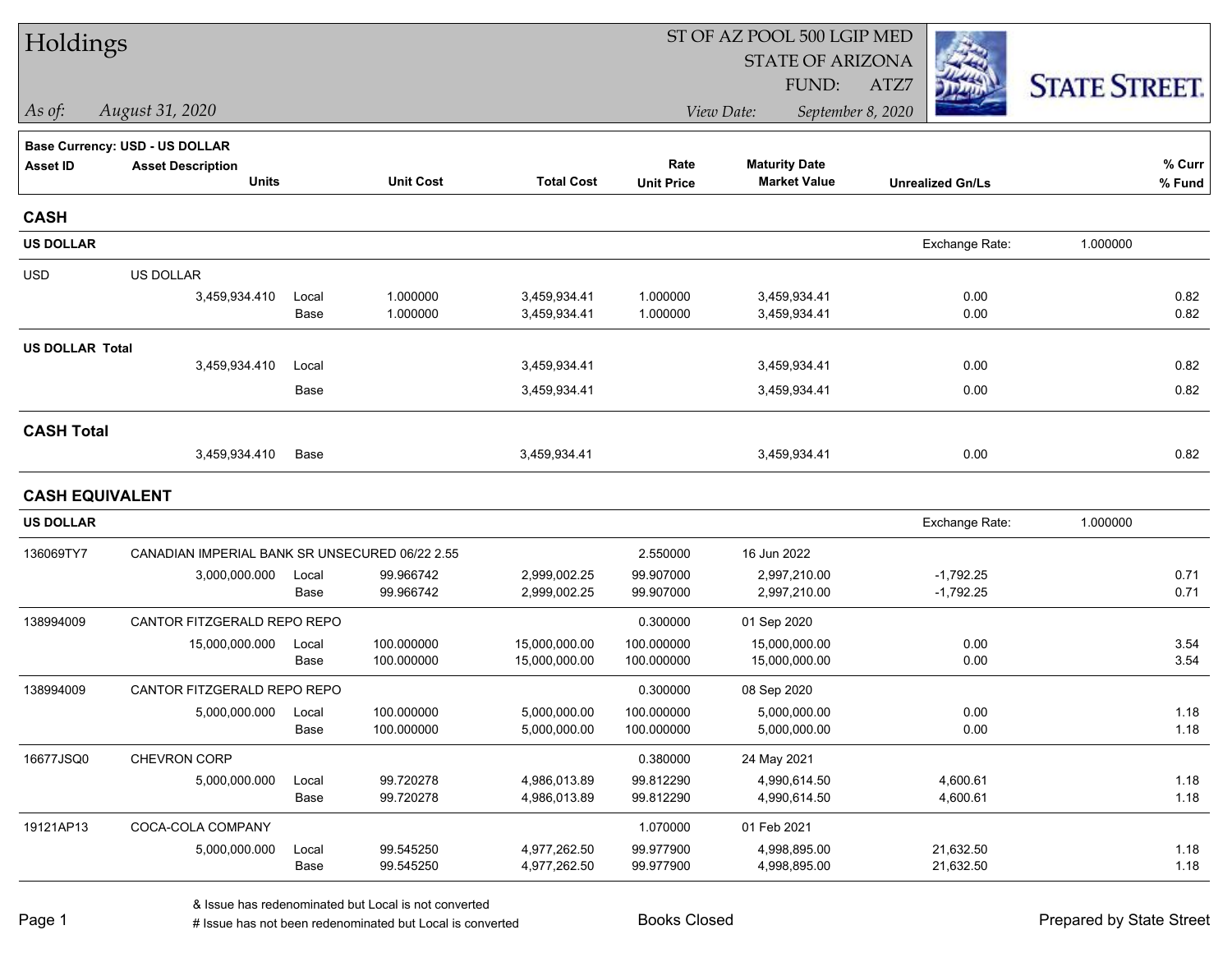| Holdings               |                                                |       |                  |                   | ST OF AZ POOL 500 LGIP MED |                         |                         |                      |
|------------------------|------------------------------------------------|-------|------------------|-------------------|----------------------------|-------------------------|-------------------------|----------------------|
|                        |                                                |       |                  |                   |                            | <b>STATE OF ARIZONA</b> |                         |                      |
|                        |                                                |       |                  |                   |                            | FUND:                   | ATZ7                    | <b>STATE STREET.</b> |
| As of:                 | August 31, 2020                                |       |                  |                   |                            | View Date:              | September 8, 2020       |                      |
|                        | <b>Base Currency: USD - US DOLLAR</b>          |       |                  |                   |                            |                         |                         |                      |
| <b>Asset ID</b>        | <b>Asset Description</b>                       |       |                  |                   | Rate                       | <b>Maturity Date</b>    |                         | % Curr               |
|                        | <b>Units</b>                                   |       | <b>Unit Cost</b> | <b>Total Cost</b> | <b>Unit Price</b>          | <b>Market Value</b>     | <b>Unrealized Gn/Ls</b> | % Fund               |
| <b>CASH</b>            |                                                |       |                  |                   |                            |                         |                         |                      |
| <b>US DOLLAR</b>       |                                                |       |                  |                   |                            |                         | Exchange Rate:          | 1.000000             |
| <b>USD</b>             | US DOLLAR                                      |       |                  |                   |                            |                         |                         |                      |
|                        | 3,459,934.410                                  | Local | 1.000000         | 3,459,934.41      | 1.000000                   | 3,459,934.41            | 0.00                    | 0.82                 |
|                        |                                                | Base  | 1.000000         | 3,459,934.41      | 1.000000                   | 3,459,934.41            | 0.00                    | 0.82                 |
| <b>US DOLLAR Total</b> |                                                |       |                  |                   |                            |                         |                         |                      |
|                        | 3,459,934.410                                  | Local |                  | 3,459,934.41      |                            | 3,459,934.41            | 0.00                    | 0.82                 |
|                        |                                                | Base  |                  | 3,459,934.41      |                            | 3,459,934.41            | 0.00                    | 0.82                 |
| <b>CASH Total</b>      |                                                |       |                  |                   |                            |                         |                         |                      |
|                        | 3,459,934.410                                  | Base  |                  | 3,459,934.41      |                            | 3,459,934.41            | 0.00                    | 0.82                 |
| <b>CASH EQUIVALENT</b> |                                                |       |                  |                   |                            |                         |                         |                      |
| <b>US DOLLAR</b>       |                                                |       |                  |                   |                            |                         | Exchange Rate:          | 1.000000             |
| 136069TY7              | CANADIAN IMPERIAL BANK SR UNSECURED 06/22 2.55 |       |                  |                   | 2.550000                   | 16 Jun 2022             |                         |                      |
|                        | 3,000,000.000                                  | Local | 99.966742        | 2,999,002.25      | 99.907000                  | 2,997,210.00            | $-1,792.25$             | 0.71                 |
|                        |                                                | Base  | 99.966742        | 2,999,002.25      | 99.907000                  | 2,997,210.00            | $-1,792.25$             | 0.71                 |
| 138994009              | CANTOR FITZGERALD REPO REPO                    |       |                  |                   | 0.300000                   | 01 Sep 2020             |                         |                      |
|                        | 15,000,000.000                                 | Local | 100.000000       | 15,000,000.00     | 100.000000                 | 15,000,000.00           | 0.00                    | 3.54                 |
|                        |                                                | Base  | 100.000000       | 15,000,000.00     | 100.000000                 | 15,000,000.00           | 0.00                    | 3.54                 |
| 138994009              | CANTOR FITZGERALD REPO REPO                    |       |                  |                   | 0.300000                   | 08 Sep 2020             |                         |                      |
|                        | 5,000,000.000                                  | Local | 100.000000       | 5,000,000.00      | 100.000000                 | 5,000,000.00            | 0.00                    | 1.18                 |
|                        |                                                | Base  | 100.000000       | 5,000,000.00      | 100.000000                 | 5,000,000.00            | 0.00                    | 1.18                 |
| 16677JSQ0              | CHEVRON CORP                                   |       |                  |                   | 0.380000                   | 24 May 2021             |                         |                      |
|                        | 5,000,000.000                                  | Local | 99.720278        | 4,986,013.89      | 99.812290                  | 4,990,614.50            | 4,600.61                | 1.18                 |
|                        |                                                | Base  | 99.720278        | 4,986,013.89      | 99.812290                  | 4,990,614.50            | 4,600.61                | 1.18                 |
| 19121AP13              | COCA-COLA COMPANY                              |       |                  |                   | 1.070000                   | 01 Feb 2021             |                         |                      |
|                        | 5,000,000.000                                  | Local | 99.545250        | 4,977,262.50      | 99.977900                  | 4,998,895.00            | 21,632.50               | 1.18                 |
|                        |                                                | Base  | 99.545250        | 4,977,262.50      | 99.977900                  | 4,998,895.00            | 21,632.50               | 1.18                 |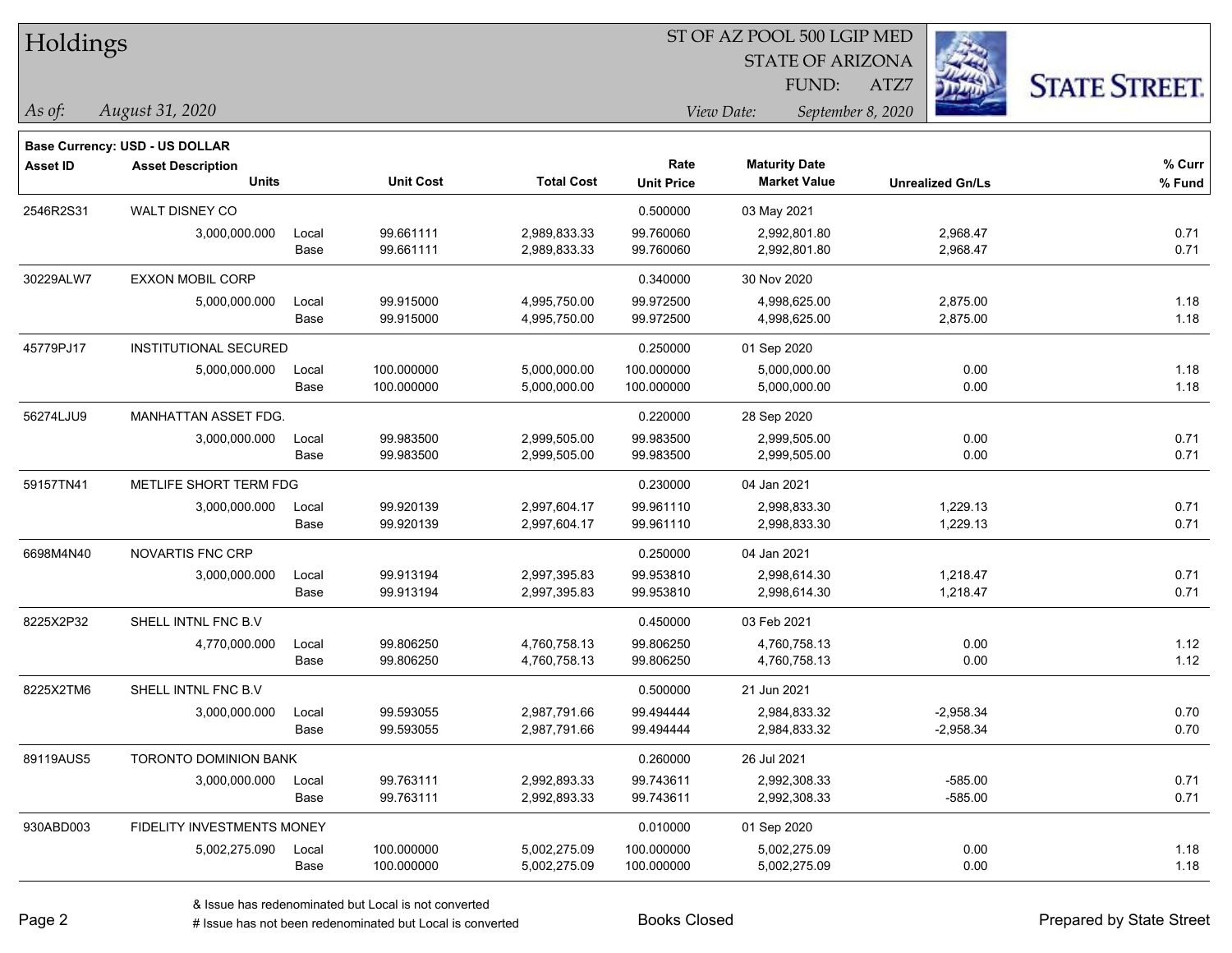| Holdings |
|----------|
|----------|

STATE OF ARIZONA

ATZ7



**Base Currency: USD - US DOLLAR**

*August 31, 2020 As of: View Date: September 8, 2020* FUND:

| <b>Asset ID</b> | <b>Asset Description</b><br><b>Units</b> |       | <b>Unit Cost</b> | <b>Total Cost</b> | Rate<br><b>Unit Price</b> | <b>Maturity Date</b><br><b>Market Value</b> | <b>Unrealized Gn/Ls</b> | $%$ Curr<br>% Fund |
|-----------------|------------------------------------------|-------|------------------|-------------------|---------------------------|---------------------------------------------|-------------------------|--------------------|
| 2546R2S31       | WALT DISNEY CO                           |       |                  |                   | 0.500000                  | 03 May 2021                                 |                         |                    |
|                 | 3,000,000.000                            | Local | 99.661111        | 2,989,833.33      | 99.760060                 | 2,992,801.80                                | 2,968.47                | 0.71               |
|                 |                                          | Base  | 99.661111        | 2,989,833.33      | 99.760060                 | 2,992,801.80                                | 2,968.47                | 0.71               |
| 30229ALW7       | <b>EXXON MOBIL CORP</b>                  |       |                  |                   | 0.340000                  | 30 Nov 2020                                 |                         |                    |
|                 | 5,000,000.000                            | Local | 99.915000        | 4,995,750.00      | 99.972500                 | 4,998,625.00                                | 2,875.00                | 1.18               |
|                 |                                          | Base  | 99.915000        | 4,995,750.00      | 99.972500                 | 4,998,625.00                                | 2,875.00                | 1.18               |
| 45779PJ17       | <b>INSTITUTIONAL SECURED</b>             |       |                  |                   | 0.250000                  | 01 Sep 2020                                 |                         |                    |
|                 | 5,000,000.000                            | Local | 100.000000       | 5,000,000.00      | 100.000000                | 5,000,000.00                                | 0.00                    | 1.18               |
|                 |                                          | Base  | 100.000000       | 5,000,000.00      | 100.000000                | 5,000,000.00                                | 0.00                    | 1.18               |
| 56274LJU9       | MANHATTAN ASSET FDG.                     |       |                  |                   | 0.220000                  | 28 Sep 2020                                 |                         |                    |
|                 | 3,000,000.000                            | Local | 99.983500        | 2,999,505.00      | 99.983500                 | 2,999,505.00                                | 0.00                    | 0.71               |
|                 |                                          | Base  | 99.983500        | 2,999,505.00      | 99.983500                 | 2,999,505.00                                | 0.00                    | 0.71               |
| 59157TN41       | METLIFE SHORT TERM FDG                   |       |                  |                   | 0.230000                  | 04 Jan 2021                                 |                         |                    |
|                 | 3,000,000.000                            | Local | 99.920139        | 2,997,604.17      | 99.961110                 | 2,998,833.30                                | 1,229.13                | 0.71               |
|                 |                                          | Base  | 99.920139        | 2,997,604.17      | 99.961110                 | 2,998,833.30                                | 1,229.13                | 0.71               |
| 6698M4N40       | <b>NOVARTIS FNC CRP</b>                  |       |                  |                   | 0.250000                  | 04 Jan 2021                                 |                         |                    |
|                 | 3,000,000.000                            | Local | 99.913194        | 2,997,395.83      | 99.953810                 | 2,998,614.30                                | 1,218.47                | 0.71               |
|                 |                                          | Base  | 99.913194        | 2,997,395.83      | 99.953810                 | 2,998,614.30                                | 1,218.47                | 0.71               |
| 8225X2P32       | SHELL INTNL FNC B.V                      |       |                  |                   | 0.450000                  | 03 Feb 2021                                 |                         |                    |
|                 | 4,770,000.000                            | Local | 99.806250        | 4,760,758.13      | 99.806250                 | 4,760,758.13                                | 0.00                    | 1.12               |
|                 |                                          | Base  | 99.806250        | 4,760,758.13      | 99.806250                 | 4,760,758.13                                | 0.00                    | 1.12               |
| 8225X2TM6       | SHELL INTNL FNC B.V                      |       |                  |                   | 0.500000                  | 21 Jun 2021                                 |                         |                    |
|                 | 3,000,000.000                            | Local | 99.593055        | 2,987,791.66      | 99.494444                 | 2,984,833.32                                | $-2,958.34$             | 0.70               |
|                 |                                          | Base  | 99.593055        | 2,987,791.66      | 99.494444                 | 2,984,833.32                                | $-2,958.34$             | 0.70               |
| 89119AUS5       | <b>TORONTO DOMINION BANK</b>             |       |                  |                   | 0.260000                  | 26 Jul 2021                                 |                         |                    |
|                 | 3,000,000.000                            | Local | 99.763111        | 2,992,893.33      | 99.743611                 | 2,992,308.33                                | $-585.00$               | 0.71               |
|                 |                                          | Base  | 99.763111        | 2,992,893.33      | 99.743611                 | 2,992,308.33                                | $-585.00$               | 0.71               |
| 930ABD003       | <b>FIDELITY INVESTMENTS MONEY</b>        |       |                  |                   | 0.010000                  | 01 Sep 2020                                 |                         |                    |
|                 | 5,002,275.090                            | Local | 100.000000       | 5,002,275.09      | 100.000000                | 5,002,275.09                                | 0.00                    | 1.18               |
|                 |                                          | Base  | 100.000000       | 5,002,275.09      | 100.000000                | 5,002,275.09                                | 0.00                    | 1.18               |

A ISSUE ISSUE ISSUE ISSUE ISSUE ISSUE ISSUE ISSUE ISSUE ISSUE ISSUE ISSUE ISSUE ISSUE ISSUE ISSUE ISSUE ISSUE I<br>
# Issue has not been redenominated but Local is converted **BOOKS** Closed **Prepared by State Street**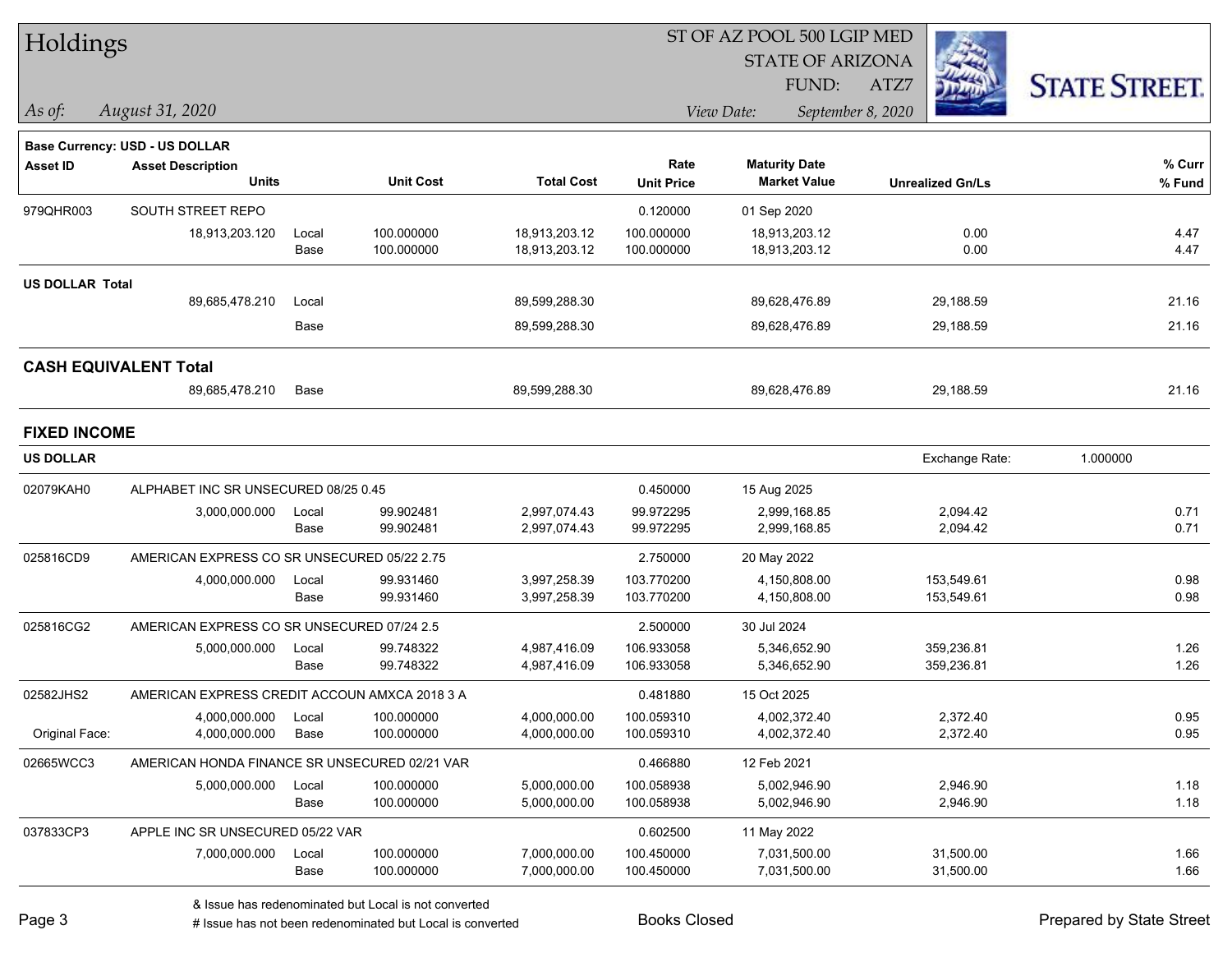| Holdings               |                                               |       |                  |                   |                   | ST OF AZ POOL 500 LGIP MED |                         |                      |
|------------------------|-----------------------------------------------|-------|------------------|-------------------|-------------------|----------------------------|-------------------------|----------------------|
|                        |                                               |       |                  |                   |                   | <b>STATE OF ARIZONA</b>    |                         |                      |
|                        |                                               |       |                  |                   |                   | FUND:                      | ATZ7                    | <b>STATE STREET.</b> |
| As of:                 | August 31, 2020                               |       |                  |                   |                   | View Date:                 | September 8, 2020       |                      |
|                        |                                               |       |                  |                   |                   |                            |                         |                      |
|                        | Base Currency: USD - US DOLLAR                |       |                  |                   |                   |                            |                         |                      |
| Asset ID               | <b>Asset Description</b>                      |       |                  |                   | Rate              | <b>Maturity Date</b>       |                         | % Curr               |
|                        | <b>Units</b>                                  |       | <b>Unit Cost</b> | <b>Total Cost</b> | <b>Unit Price</b> | <b>Market Value</b>        | <b>Unrealized Gn/Ls</b> | % Fund               |
| 979QHR003              | SOUTH STREET REPO                             |       |                  |                   | 0.120000          | 01 Sep 2020                |                         |                      |
|                        | 18,913,203.120                                | Local | 100.000000       | 18,913,203.12     | 100.000000        | 18,913,203.12              | 0.00                    | 4.47                 |
|                        |                                               | Base  | 100.000000       | 18,913,203.12     | 100.000000        | 18,913,203.12              | 0.00                    | 4.47                 |
| <b>US DOLLAR Total</b> |                                               |       |                  |                   |                   |                            |                         |                      |
|                        | 89,685,478.210                                | Local |                  | 89,599,288.30     |                   | 89,628,476.89              | 29,188.59               | 21.16                |
|                        |                                               | Base  |                  | 89,599,288.30     |                   | 89,628,476.89              | 29,188.59               | 21.16                |
|                        | <b>CASH EQUIVALENT Total</b>                  |       |                  |                   |                   |                            |                         |                      |
|                        | 89,685,478.210                                | Base  |                  | 89,599,288.30     |                   | 89,628,476.89              | 29,188.59               | 21.16                |
| <b>FIXED INCOME</b>    |                                               |       |                  |                   |                   |                            |                         |                      |
| <b>US DOLLAR</b>       |                                               |       |                  |                   |                   |                            | Exchange Rate:          | 1.000000             |
| 02079KAH0              | ALPHABET INC SR UNSECURED 08/25 0.45          |       |                  |                   | 0.450000          | 15 Aug 2025                |                         |                      |
|                        | 3,000,000.000                                 | Local | 99.902481        | 2,997,074.43      | 99.972295         | 2,999,168.85               | 2,094.42                | 0.71                 |
|                        |                                               | Base  | 99.902481        | 2,997,074.43      | 99.972295         | 2,999,168.85               | 2,094.42                | 0.71                 |
| 025816CD9              | AMERICAN EXPRESS CO SR UNSECURED 05/22 2.75   |       |                  |                   | 2.750000          | 20 May 2022                |                         |                      |
|                        | 4,000,000.000                                 | Local | 99.931460        | 3,997,258.39      | 103.770200        | 4,150,808.00               | 153,549.61              | 0.98                 |
|                        |                                               | Base  | 99.931460        | 3,997,258.39      | 103.770200        | 4,150,808.00               | 153,549.61              | 0.98                 |
| 025816CG2              | AMERICAN EXPRESS CO SR UNSECURED 07/24 2.5    |       |                  |                   | 2.500000          | 30 Jul 2024                |                         |                      |
|                        | 5,000,000.000                                 | Local | 99.748322        | 4,987,416.09      | 106.933058        | 5,346,652.90               | 359,236.81              | 1.26                 |
|                        |                                               | Base  | 99.748322        | 4,987,416.09      | 106.933058        | 5,346,652.90               | 359,236.81              | 1.26                 |
| 02582JHS2              | AMERICAN EXPRESS CREDIT ACCOUN AMXCA 2018 3 A |       |                  |                   | 0.481880          | 15 Oct 2025                |                         |                      |
|                        | 4,000,000.000                                 | Local | 100.000000       | 4,000,000.00      | 100.059310        | 4,002,372.40               | 2,372.40                | 0.95                 |
| Original Face:         | 4,000,000.000                                 | Base  | 100.000000       | 4,000,000.00      | 100.059310        | 4,002,372.40               | 2,372.40                | 0.95                 |
| 02665WCC3              | AMERICAN HONDA FINANCE SR UNSECURED 02/21 VAR |       |                  |                   | 0.466880          | 12 Feb 2021                |                         |                      |
|                        | 5,000,000.000                                 | Local | 100.000000       | 5,000,000.00      | 100.058938        | 5,002,946.90               | 2,946.90                | 1.18                 |
|                        |                                               | Base  | 100.000000       | 5,000,000.00      | 100.058938        | 5,002,946.90               | 2,946.90                | 1.18                 |
| 037833CP3              | APPLE INC SR UNSECURED 05/22 VAR              |       |                  |                   | 0.602500          | 11 May 2022                |                         |                      |
|                        | 7,000,000.000                                 | Local | 100.000000       | 7,000,000.00      | 100.450000        | 7,031,500.00               | 31,500.00               | 1.66                 |
|                        |                                               | Base  | 100.000000       | 7,000,000.00      | 100.450000        | 7,031,500.00               | 31,500.00               | 1.66                 |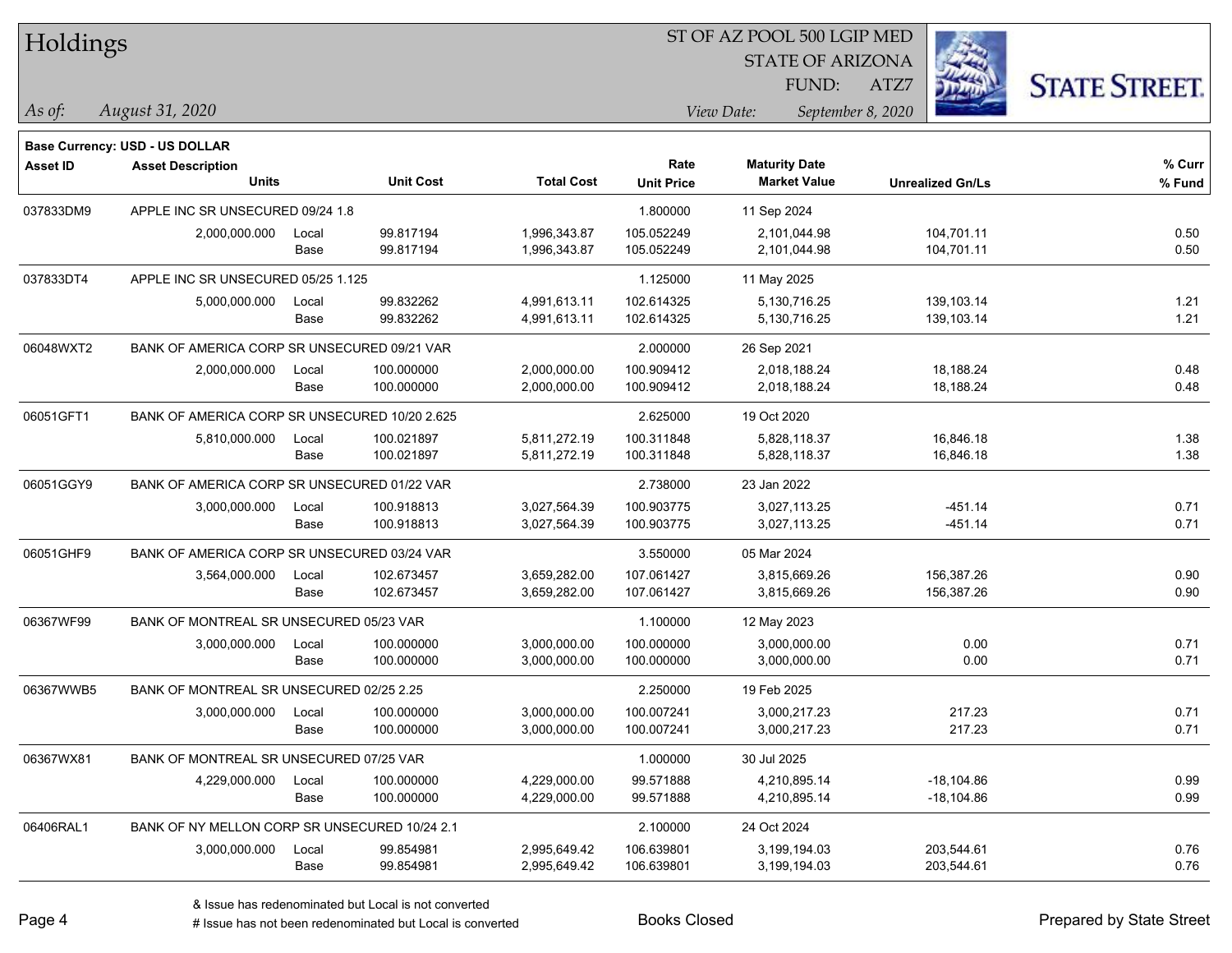| Holdings |
|----------|
|----------|

STATE OF ARIZONA FUND:

ATZ7



*August 31, 2020 As of: View Date: September 8, 2020*

**Base Currency: USD - US DOLLAR**

| Asset ID  | <b>Asset Description</b>                      |       |                  |                   | Rate              | <b>Maturity Date</b> |                         | % Curr |
|-----------|-----------------------------------------------|-------|------------------|-------------------|-------------------|----------------------|-------------------------|--------|
|           | <b>Units</b>                                  |       | <b>Unit Cost</b> | <b>Total Cost</b> | <b>Unit Price</b> | <b>Market Value</b>  | <b>Unrealized Gn/Ls</b> | % Fund |
| 037833DM9 | APPLE INC SR UNSECURED 09/24 1.8              |       |                  |                   | 1.800000          | 11 Sep 2024          |                         |        |
|           | 2,000,000.000                                 | Local | 99.817194        | 1,996,343.87      | 105.052249        | 2,101,044.98         | 104,701.11              | 0.50   |
|           |                                               | Base  | 99.817194        | 1,996,343.87      | 105.052249        | 2,101,044.98         | 104,701.11              | 0.50   |
| 037833DT4 | APPLE INC SR UNSECURED 05/25 1.125            |       |                  |                   | 1.125000          | 11 May 2025          |                         |        |
|           | 5,000,000.000                                 | Local | 99.832262        | 4,991,613.11      | 102.614325        | 5,130,716.25         | 139,103.14              | 1.21   |
|           |                                               | Base  | 99.832262        | 4,991,613.11      | 102.614325        | 5,130,716.25         | 139,103.14              | 1.21   |
| 06048WXT2 | BANK OF AMERICA CORP SR UNSECURED 09/21 VAR   |       |                  |                   | 2.000000          | 26 Sep 2021          |                         |        |
|           | 2,000,000.000                                 | Local | 100.000000       | 2,000,000.00      | 100.909412        | 2,018,188.24         | 18,188.24               | 0.48   |
|           |                                               | Base  | 100.000000       | 2,000,000.00      | 100.909412        | 2,018,188.24         | 18,188.24               | 0.48   |
| 06051GFT1 | BANK OF AMERICA CORP SR UNSECURED 10/20 2.625 |       |                  |                   | 2.625000          | 19 Oct 2020          |                         |        |
|           | 5,810,000.000                                 | Local | 100.021897       | 5,811,272.19      | 100.311848        | 5,828,118.37         | 16,846.18               | 1.38   |
|           |                                               | Base  | 100.021897       | 5,811,272.19      | 100.311848        | 5,828,118.37         | 16,846.18               | 1.38   |
| 06051GGY9 | BANK OF AMERICA CORP SR UNSECURED 01/22 VAR   |       |                  |                   | 2.738000          | 23 Jan 2022          |                         |        |
|           | 3,000,000.000                                 | Local | 100.918813       | 3,027,564.39      | 100.903775        | 3,027,113.25         | $-451.14$               | 0.71   |
|           |                                               | Base  | 100.918813       | 3,027,564.39      | 100.903775        | 3,027,113.25         | $-451.14$               | 0.71   |
| 06051GHF9 | BANK OF AMERICA CORP SR UNSECURED 03/24 VAR   |       |                  |                   | 3.550000          | 05 Mar 2024          |                         |        |
|           | 3,564,000.000                                 | Local | 102.673457       | 3,659,282.00      | 107.061427        | 3,815,669.26         | 156,387.26              | 0.90   |
|           |                                               | Base  | 102.673457       | 3,659,282.00      | 107.061427        | 3,815,669.26         | 156,387.26              | 0.90   |
| 06367WF99 | BANK OF MONTREAL SR UNSECURED 05/23 VAR       |       |                  |                   | 1.100000          | 12 May 2023          |                         |        |
|           | 3,000,000.000                                 | Local | 100.000000       | 3,000,000.00      | 100.000000        | 3,000,000.00         | 0.00                    | 0.71   |
|           |                                               | Base  | 100.000000       | 3,000,000.00      | 100.000000        | 3,000,000.00         | 0.00                    | 0.71   |
| 06367WWB5 | BANK OF MONTREAL SR UNSECURED 02/25 2.25      |       |                  |                   | 2.250000          | 19 Feb 2025          |                         |        |
|           | 3,000,000.000                                 | Local | 100.000000       | 3,000,000.00      | 100.007241        | 3,000,217.23         | 217.23                  | 0.71   |
|           |                                               | Base  | 100.000000       | 3,000,000.00      | 100.007241        | 3,000,217.23         | 217.23                  | 0.71   |
| 06367WX81 | BANK OF MONTREAL SR UNSECURED 07/25 VAR       |       |                  |                   | 1.000000          | 30 Jul 2025          |                         |        |
|           | 4,229,000.000                                 | Local | 100.000000       | 4,229,000.00      | 99.571888         | 4,210,895.14         | $-18,104.86$            | 0.99   |
|           |                                               | Base  | 100.000000       | 4,229,000.00      | 99.571888         | 4,210,895.14         | $-18,104.86$            | 0.99   |
| 06406RAL1 | BANK OF NY MELLON CORP SR UNSECURED 10/24 2.1 |       |                  |                   | 2.100000          | 24 Oct 2024          |                         |        |
|           | 3,000,000.000                                 | Local | 99.854981        | 2,995,649.42      | 106.639801        | 3,199,194.03         | 203,544.61              | 0.76   |
|           |                                               | Base  | 99.854981        | 2,995,649.42      | 106.639801        | 3,199,194.03         | 203,544.61              | 0.76   |

A ISSUE ISSUE ISSUE ISSUE ISSUE ISSUE ISSUE ISSUE ISSUE ISSUE ISSUE ISSUE ISSUE ISSUE ISSUE ISSUE ISSUE ISSUE I<br>
# Issue has not been redenominated but Local is converted **BOOKS** Closed **Prepared by State Street**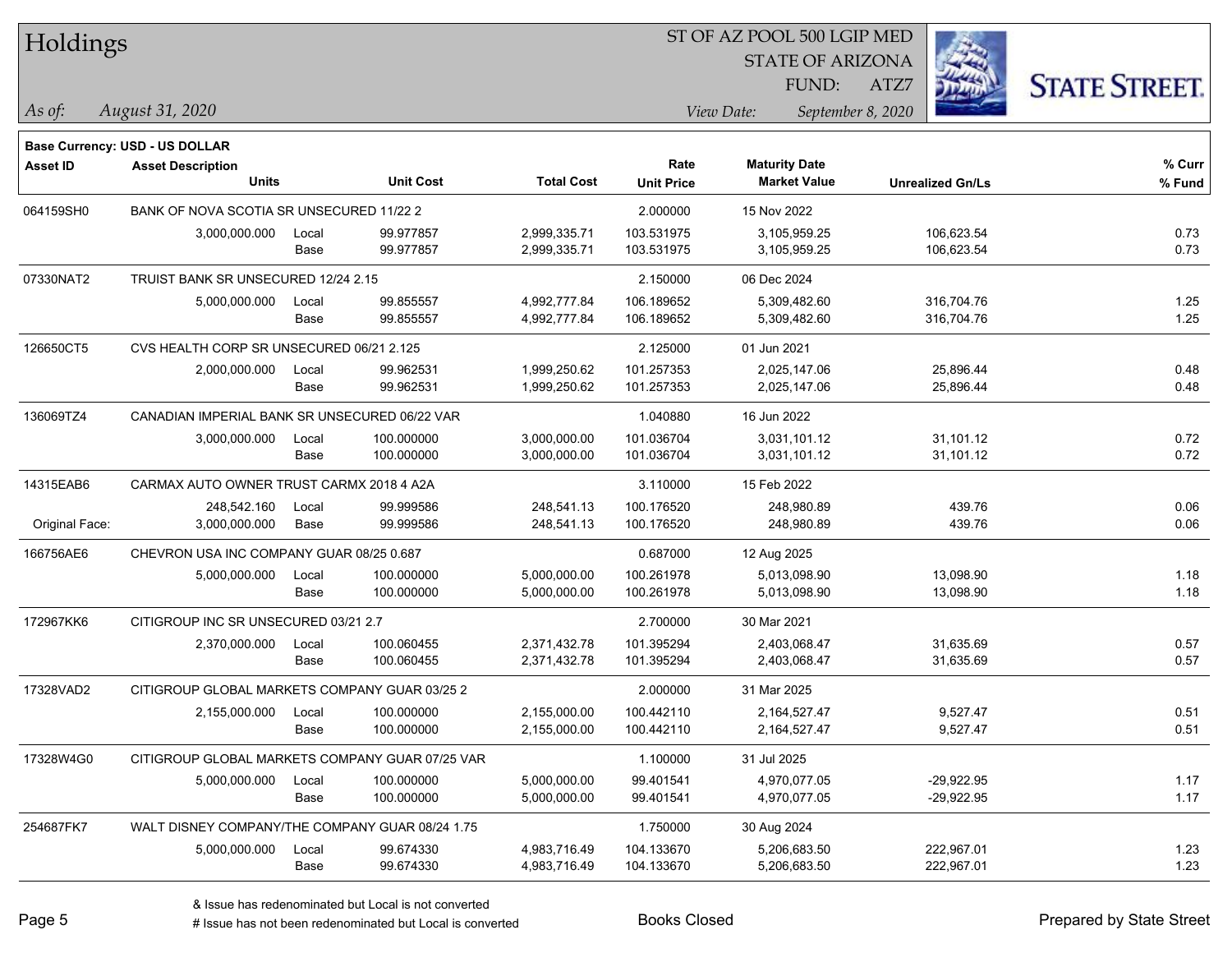| Holdings |
|----------|
|----------|

STATE OF ARIZONA

ATZ7



*August 31, 2020 As of: View Date: September 8, 2020*

**Base Currency: USD - US DOLLAR**

FUND:

| <b>Asset ID</b> | <b>Asset Description</b><br><b>Units</b>        |       | <b>Unit Cost</b> | <b>Total Cost</b> | Rate              | <b>Maturity Date</b><br><b>Market Value</b> |                         | % Curr |
|-----------------|-------------------------------------------------|-------|------------------|-------------------|-------------------|---------------------------------------------|-------------------------|--------|
|                 |                                                 |       |                  |                   | <b>Unit Price</b> |                                             | <b>Unrealized Gn/Ls</b> | % Fund |
| 064159SH0       | BANK OF NOVA SCOTIA SR UNSECURED 11/22 2        |       |                  |                   | 2.000000          | 15 Nov 2022                                 |                         |        |
|                 | 3,000,000.000                                   | Local | 99.977857        | 2,999,335.71      | 103.531975        | 3,105,959.25                                | 106,623.54              | 0.73   |
|                 |                                                 | Base  | 99.977857        | 2,999,335.71      | 103.531975        | 3,105,959.25                                | 106,623.54              | 0.73   |
| 07330NAT2       | TRUIST BANK SR UNSECURED 12/24 2.15             |       |                  |                   | 2.150000          | 06 Dec 2024                                 |                         |        |
|                 | 5,000,000.000                                   | Local | 99.855557        | 4,992,777.84      | 106.189652        | 5,309,482.60                                | 316,704.76              | 1.25   |
|                 |                                                 | Base  | 99.855557        | 4,992,777.84      | 106.189652        | 5,309,482.60                                | 316,704.76              | 1.25   |
| 126650CT5       | CVS HEALTH CORP SR UNSECURED 06/21 2.125        |       |                  |                   | 2.125000          | 01 Jun 2021                                 |                         |        |
|                 | 2,000,000.000                                   | Local | 99.962531        | 1,999,250.62      | 101.257353        | 2,025,147.06                                | 25,896.44               | 0.48   |
|                 |                                                 | Base  | 99.962531        | 1,999,250.62      | 101.257353        | 2,025,147.06                                | 25,896.44               | 0.48   |
| 136069TZ4       | CANADIAN IMPERIAL BANK SR UNSECURED 06/22 VAR   |       |                  |                   | 1.040880          | 16 Jun 2022                                 |                         |        |
|                 | 3,000,000.000                                   | Local | 100.000000       | 3,000,000.00      | 101.036704        | 3,031,101.12                                | 31,101.12               | 0.72   |
|                 |                                                 | Base  | 100.000000       | 3,000,000.00      | 101.036704        | 3,031,101.12                                | 31,101.12               | 0.72   |
| 14315EAB6       | CARMAX AUTO OWNER TRUST CARMX 2018 4 A2A        |       |                  |                   | 3.110000          | 15 Feb 2022                                 |                         |        |
|                 | 248,542.160                                     | Local | 99.999586        | 248,541.13        | 100.176520        | 248,980.89                                  | 439.76                  | 0.06   |
| Original Face:  | 3,000,000.000                                   | Base  | 99.999586        | 248,541.13        | 100.176520        | 248,980.89                                  | 439.76                  | 0.06   |
| 166756AE6       | CHEVRON USA INC COMPANY GUAR 08/25 0.687        |       |                  |                   | 0.687000          | 12 Aug 2025                                 |                         |        |
|                 | 5,000,000.000                                   | Local | 100.000000       | 5,000,000.00      | 100.261978        | 5,013,098.90                                | 13,098.90               | 1.18   |
|                 |                                                 | Base  | 100.000000       | 5,000,000.00      | 100.261978        | 5,013,098.90                                | 13,098.90               | 1.18   |
| 172967KK6       | CITIGROUP INC SR UNSECURED 03/21 2.7            |       |                  |                   | 2.700000          | 30 Mar 2021                                 |                         |        |
|                 | 2,370,000.000                                   | Local | 100.060455       | 2,371,432.78      | 101.395294        | 2,403,068.47                                | 31,635.69               | 0.57   |
|                 |                                                 | Base  | 100.060455       | 2,371,432.78      | 101.395294        | 2,403,068.47                                | 31,635.69               | 0.57   |
| 17328VAD2       | CITIGROUP GLOBAL MARKETS COMPANY GUAR 03/25 2   |       |                  |                   | 2.000000          | 31 Mar 2025                                 |                         |        |
|                 | 2,155,000.000                                   | Local | 100.000000       | 2,155,000.00      | 100.442110        | 2,164,527.47                                | 9,527.47                | 0.51   |
|                 |                                                 | Base  | 100.000000       | 2,155,000.00      | 100.442110        | 2,164,527.47                                | 9,527.47                | 0.51   |
| 17328W4G0       | CITIGROUP GLOBAL MARKETS COMPANY GUAR 07/25 VAR |       |                  |                   | 1.100000          | 31 Jul 2025                                 |                         |        |
|                 | 5,000,000.000                                   | Local | 100.000000       | 5,000,000.00      | 99.401541         | 4.970.077.05                                | $-29,922.95$            | 1.17   |
|                 |                                                 | Base  | 100.000000       | 5,000,000.00      | 99.401541         | 4,970,077.05                                | $-29,922.95$            | 1.17   |
| 254687FK7       | WALT DISNEY COMPANY/THE COMPANY GUAR 08/24 1.75 |       |                  |                   | 1.750000          | 30 Aug 2024                                 |                         |        |
|                 | 5,000,000.000                                   | Local | 99.674330        | 4,983,716.49      | 104.133670        | 5,206,683.50                                | 222,967.01              | 1.23   |
|                 |                                                 | Base  | 99.674330        | 4,983,716.49      | 104.133670        | 5,206,683.50                                | 222,967.01              | 1.23   |

A ISSUE ISSUE ISSUE ISSUE ISSUE ISSUE ISSUE ISSUE ISSUE ISSUE ISSUE ISSUE ISSUE ISSUE ISSUE ISSUE ISSUE ISSUE I<br>
# Issue has not been redenominated but Local is converted **BOOKS** Closed **Prepared by State Street**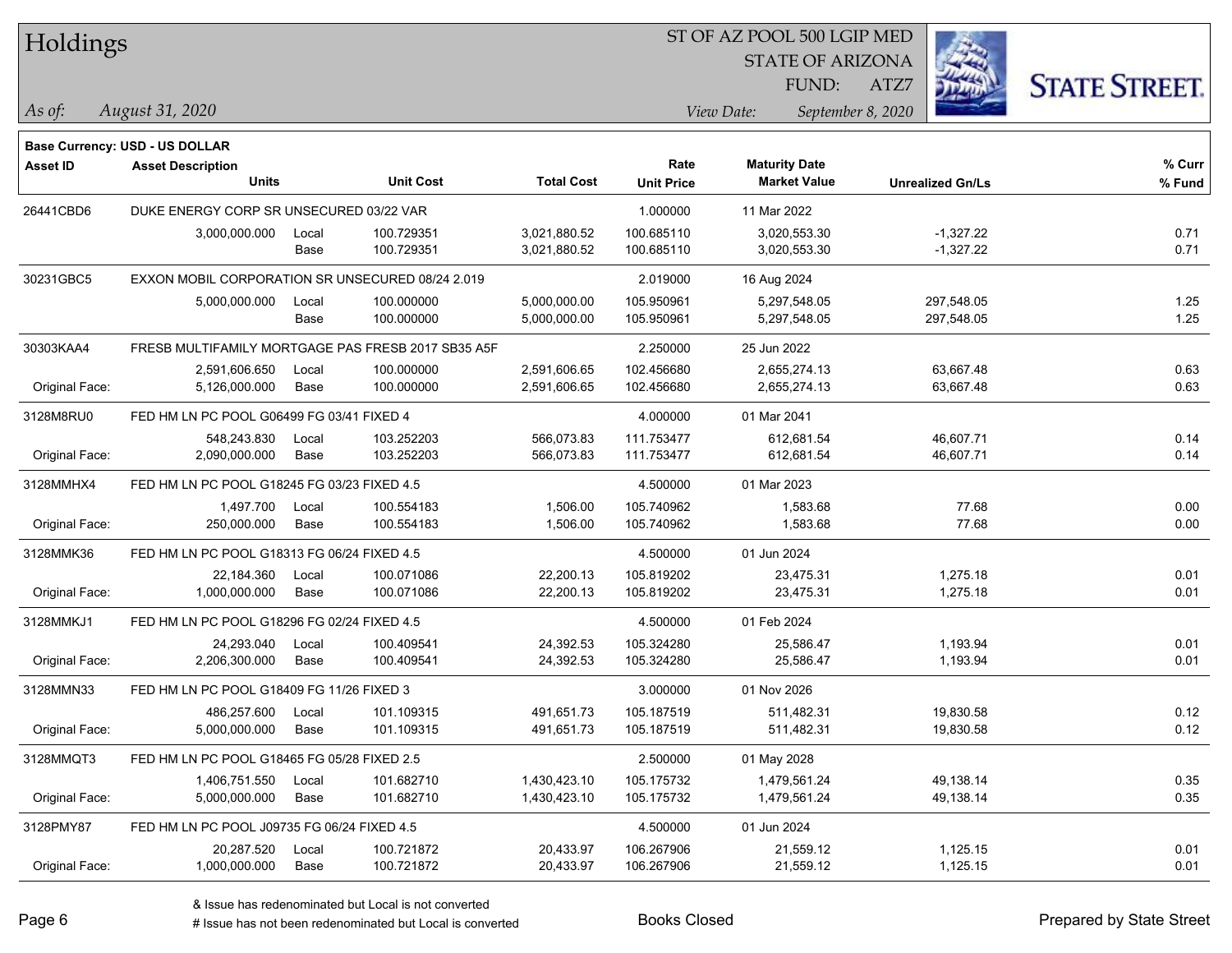| Holdings |
|----------|
|----------|

STATE OF ARIZONA

ATZ7



*August 31, 2020 As of: View Date: September 8, 2020*

**Base Currency: USD - US DOLLAR**

FUND:

| Asset ID       | <b>Asset Description</b><br><b>Units</b>           |       | <b>Unit Cost</b> | <b>Total Cost</b> | Rate              | <b>Maturity Date</b><br><b>Market Value</b> |                         | % Curr |
|----------------|----------------------------------------------------|-------|------------------|-------------------|-------------------|---------------------------------------------|-------------------------|--------|
|                |                                                    |       |                  |                   | <b>Unit Price</b> |                                             | <b>Unrealized Gn/Ls</b> | % Fund |
| 26441CBD6      | DUKE ENERGY CORP SR UNSECURED 03/22 VAR            |       |                  |                   | 1.000000          | 11 Mar 2022                                 |                         |        |
|                | 3,000,000.000                                      | Local | 100.729351       | 3,021,880.52      | 100.685110        | 3,020,553.30                                | $-1,327.22$             | 0.71   |
|                |                                                    | Base  | 100.729351       | 3,021,880.52      | 100.685110        | 3,020,553.30                                | $-1,327.22$             | 0.71   |
| 30231GBC5      | EXXON MOBIL CORPORATION SR UNSECURED 08/24 2.019   |       |                  |                   | 2.019000          | 16 Aug 2024                                 |                         |        |
|                | 5,000,000.000                                      | Local | 100.000000       | 5,000,000.00      | 105.950961        | 5,297,548.05                                | 297,548.05              | 1.25   |
|                |                                                    | Base  | 100.000000       | 5,000,000.00      | 105.950961        | 5,297,548.05                                | 297,548.05              | 1.25   |
| 30303KAA4      | FRESB MULTIFAMILY MORTGAGE PAS FRESB 2017 SB35 A5F |       |                  |                   | 2.250000          | 25 Jun 2022                                 |                         |        |
|                | 2,591,606.650                                      | Local | 100.000000       | 2,591,606.65      | 102.456680        | 2,655,274.13                                | 63,667.48               | 0.63   |
| Original Face: | 5,126,000.000                                      | Base  | 100.000000       | 2,591,606.65      | 102.456680        | 2,655,274.13                                | 63,667.48               | 0.63   |
| 3128M8RU0      | FED HM LN PC POOL G06499 FG 03/41 FIXED 4          |       |                  |                   | 4.000000          | 01 Mar 2041                                 |                         |        |
|                | 548,243.830                                        | Local | 103.252203       | 566.073.83        | 111.753477        | 612,681.54                                  | 46,607.71               | 0.14   |
| Original Face: | 2,090,000.000                                      | Base  | 103.252203       | 566,073.83        | 111.753477        | 612,681.54                                  | 46,607.71               | 0.14   |
| 3128MMHX4      | FED HM LN PC POOL G18245 FG 03/23 FIXED 4.5        |       |                  |                   | 4.500000          | 01 Mar 2023                                 |                         |        |
|                | 1,497.700                                          | Local | 100.554183       | 1,506.00          | 105.740962        | 1,583.68                                    | 77.68                   | 0.00   |
| Original Face: | 250,000.000                                        | Base  | 100.554183       | 1,506.00          | 105.740962        | 1,583.68                                    | 77.68                   | 0.00   |
| 3128MMK36      | FED HM LN PC POOL G18313 FG 06/24 FIXED 4.5        |       |                  |                   | 4.500000          | 01 Jun 2024                                 |                         |        |
|                | 22,184.360                                         | Local | 100.071086       | 22,200.13         | 105.819202        | 23,475.31                                   | 1,275.18                | 0.01   |
| Original Face: | 1,000,000.000                                      | Base  | 100.071086       | 22,200.13         | 105.819202        | 23,475.31                                   | 1,275.18                | 0.01   |
| 3128MMKJ1      | FED HM LN PC POOL G18296 FG 02/24 FIXED 4.5        |       |                  |                   | 4.500000          | 01 Feb 2024                                 |                         |        |
|                | 24,293.040                                         | Local | 100.409541       | 24,392.53         | 105.324280        | 25,586.47                                   | 1,193.94                | 0.01   |
| Original Face: | 2,206,300.000                                      | Base  | 100.409541       | 24,392.53         | 105.324280        | 25,586.47                                   | 1,193.94                | 0.01   |
| 3128MMN33      | FED HM LN PC POOL G18409 FG 11/26 FIXED 3          |       |                  |                   | 3.000000          | 01 Nov 2026                                 |                         |        |
|                | 486,257.600                                        | Local | 101.109315       | 491,651.73        | 105.187519        | 511,482.31                                  | 19,830.58               | 0.12   |
| Original Face: | 5,000,000.000                                      | Base  | 101.109315       | 491,651.73        | 105.187519        | 511,482.31                                  | 19,830.58               | 0.12   |
| 3128MMQT3      | FED HM LN PC POOL G18465 FG 05/28 FIXED 2.5        |       |                  |                   | 2.500000          | 01 May 2028                                 |                         |        |
|                | 1,406,751.550                                      | Local | 101.682710       | 1,430,423.10      | 105.175732        | 1,479,561.24                                | 49,138.14               | 0.35   |
| Original Face: | 5,000,000.000                                      | Base  | 101.682710       | 1,430,423.10      | 105.175732        | 1,479,561.24                                | 49,138.14               | 0.35   |
| 3128PMY87      | FED HM LN PC POOL J09735 FG 06/24 FIXED 4.5        |       |                  |                   | 4.500000          | 01 Jun 2024                                 |                         |        |
|                | 20,287.520                                         | Local | 100.721872       | 20,433.97         | 106.267906        | 21,559.12                                   | 1,125.15                | 0.01   |
| Original Face: | 1,000,000.000                                      | Base  | 100.721872       | 20,433.97         | 106.267906        | 21,559.12                                   | 1,125.15                | 0.01   |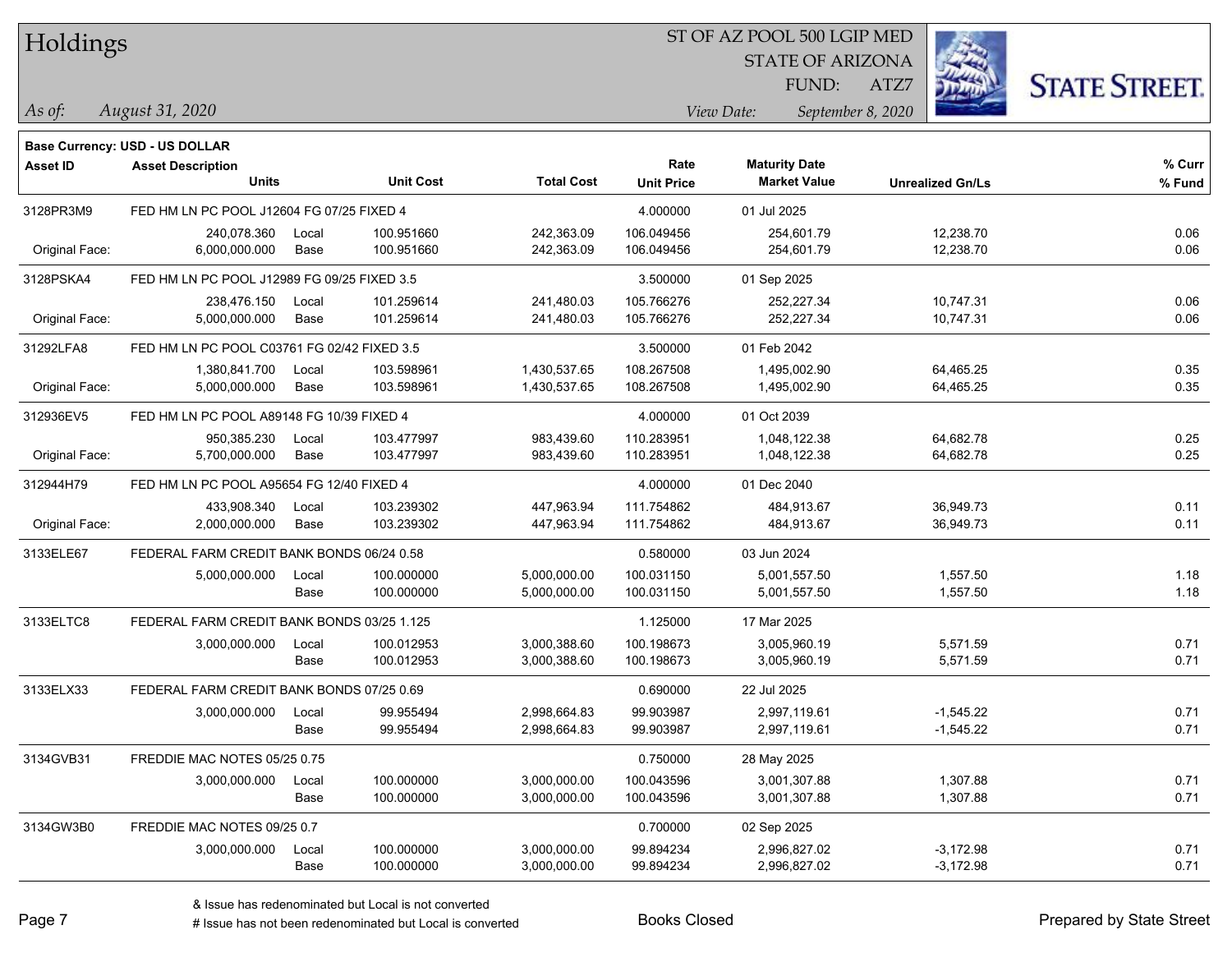**Base Currency: USD - US DOLLAR**

#### ST OF AZ POOL 500 LGIP MED

STATE OF ARIZONA

ATZ7



| Asset ID       | <b>Asset Description</b><br><b>Units</b>    |       | <b>Unit Cost</b> | <b>Total Cost</b> | Rate<br><b>Unit Price</b> | <b>Maturity Date</b><br><b>Market Value</b> | <b>Unrealized Gn/Ls</b> | % Curr<br>% Fund |
|----------------|---------------------------------------------|-------|------------------|-------------------|---------------------------|---------------------------------------------|-------------------------|------------------|
| 3128PR3M9      | FED HM LN PC POOL J12604 FG 07/25 FIXED 4   |       |                  |                   | 4.000000                  | 01 Jul 2025                                 |                         |                  |
|                | 240.078.360                                 | Local | 100.951660       | 242,363.09        | 106.049456                | 254,601.79                                  | 12,238.70               | 0.06             |
| Original Face: | 6,000,000.000                               | Base  | 100.951660       | 242,363.09        | 106.049456                | 254,601.79                                  | 12,238.70               | 0.06             |
| 3128PSKA4      | FED HM LN PC POOL J12989 FG 09/25 FIXED 3.5 |       |                  |                   | 3.500000                  | 01 Sep 2025                                 |                         |                  |
|                | 238,476.150                                 | Local | 101.259614       | 241,480.03        | 105.766276                | 252,227.34                                  | 10,747.31               | 0.06             |
| Original Face: | 5,000,000.000                               | Base  | 101.259614       | 241,480.03        | 105.766276                | 252,227.34                                  | 10,747.31               | 0.06             |
| 31292LFA8      | FED HM LN PC POOL C03761 FG 02/42 FIXED 3.5 |       |                  |                   | 3.500000                  | 01 Feb 2042                                 |                         |                  |
|                | 1,380,841.700                               | Local | 103.598961       | 1,430,537.65      | 108.267508                | 1,495,002.90                                | 64,465.25               | 0.35             |
| Original Face: | 5,000,000.000                               | Base  | 103.598961       | 1,430,537.65      | 108.267508                | 1,495,002.90                                | 64,465.25               | 0.35             |
| 312936EV5      | FED HM LN PC POOL A89148 FG 10/39 FIXED 4   |       |                  |                   | 4.000000                  | 01 Oct 2039                                 |                         |                  |
|                | 950,385.230                                 | Local | 103.477997       | 983,439.60        | 110.283951                | 1,048,122.38                                | 64,682.78               | 0.25             |
| Original Face: | 5,700,000.000                               | Base  | 103.477997       | 983,439.60        | 110.283951                | 1,048,122.38                                | 64,682.78               | 0.25             |
| 312944H79      | FED HM LN PC POOL A95654 FG 12/40 FIXED 4   |       |                  |                   | 4.000000                  | 01 Dec 2040                                 |                         |                  |
|                | 433,908.340                                 | Local | 103.239302       | 447,963.94        | 111.754862                | 484,913.67                                  | 36,949.73               | 0.11             |
| Original Face: | 2,000,000.000                               | Base  | 103.239302       | 447,963.94        | 111.754862                | 484,913.67                                  | 36,949.73               | 0.11             |
| 3133ELE67      | FEDERAL FARM CREDIT BANK BONDS 06/24 0.58   |       |                  |                   | 0.580000                  | 03 Jun 2024                                 |                         |                  |
|                | 5,000,000.000                               | Local | 100.000000       | 5,000,000.00      | 100.031150                | 5,001,557.50                                | 1,557.50                | 1.18             |
|                |                                             | Base  | 100.000000       | 5,000,000.00      | 100.031150                | 5,001,557.50                                | 1,557.50                | 1.18             |
| 3133ELTC8      | FEDERAL FARM CREDIT BANK BONDS 03/25 1.125  |       |                  |                   | 1.125000                  | 17 Mar 2025                                 |                         |                  |
|                | 3,000,000.000                               | Local | 100.012953       | 3,000,388.60      | 100.198673                | 3,005,960.19                                | 5,571.59                | 0.71             |
|                |                                             | Base  | 100.012953       | 3,000,388.60      | 100.198673                | 3,005,960.19                                | 5,571.59                | 0.71             |
| 3133ELX33      | FEDERAL FARM CREDIT BANK BONDS 07/25 0.69   |       |                  |                   | 0.690000                  | 22 Jul 2025                                 |                         |                  |
|                | 3,000,000.000                               | Local | 99.955494        | 2,998,664.83      | 99.903987                 | 2,997,119.61                                | $-1,545.22$             | 0.71             |
|                |                                             | Base  | 99.955494        | 2,998,664.83      | 99.903987                 | 2,997,119.61                                | $-1,545.22$             | 0.71             |
| 3134GVB31      | FREDDIE MAC NOTES 05/25 0.75                |       |                  |                   | 0.750000                  | 28 May 2025                                 |                         |                  |
|                | 3,000,000.000                               | Local | 100.000000       | 3,000,000.00      | 100.043596                | 3,001,307.88                                | 1,307.88                | 0.71             |
|                |                                             | Base  | 100.000000       | 3,000,000.00      | 100.043596                | 3,001,307.88                                | 1,307.88                | 0.71             |
| 3134GW3B0      | FREDDIE MAC NOTES 09/25 0.7                 |       |                  |                   | 0.700000                  | 02 Sep 2025                                 |                         |                  |
|                | 3,000,000.000                               | Local | 100.000000       | 3,000,000.00      | 99.894234                 | 2,996,827.02                                | $-3,172.98$             | 0.71             |
|                |                                             | Base  | 100.000000       | 3,000,000.00      | 99.894234                 | 2,996,827.02                                | $-3,172.98$             | 0.71             |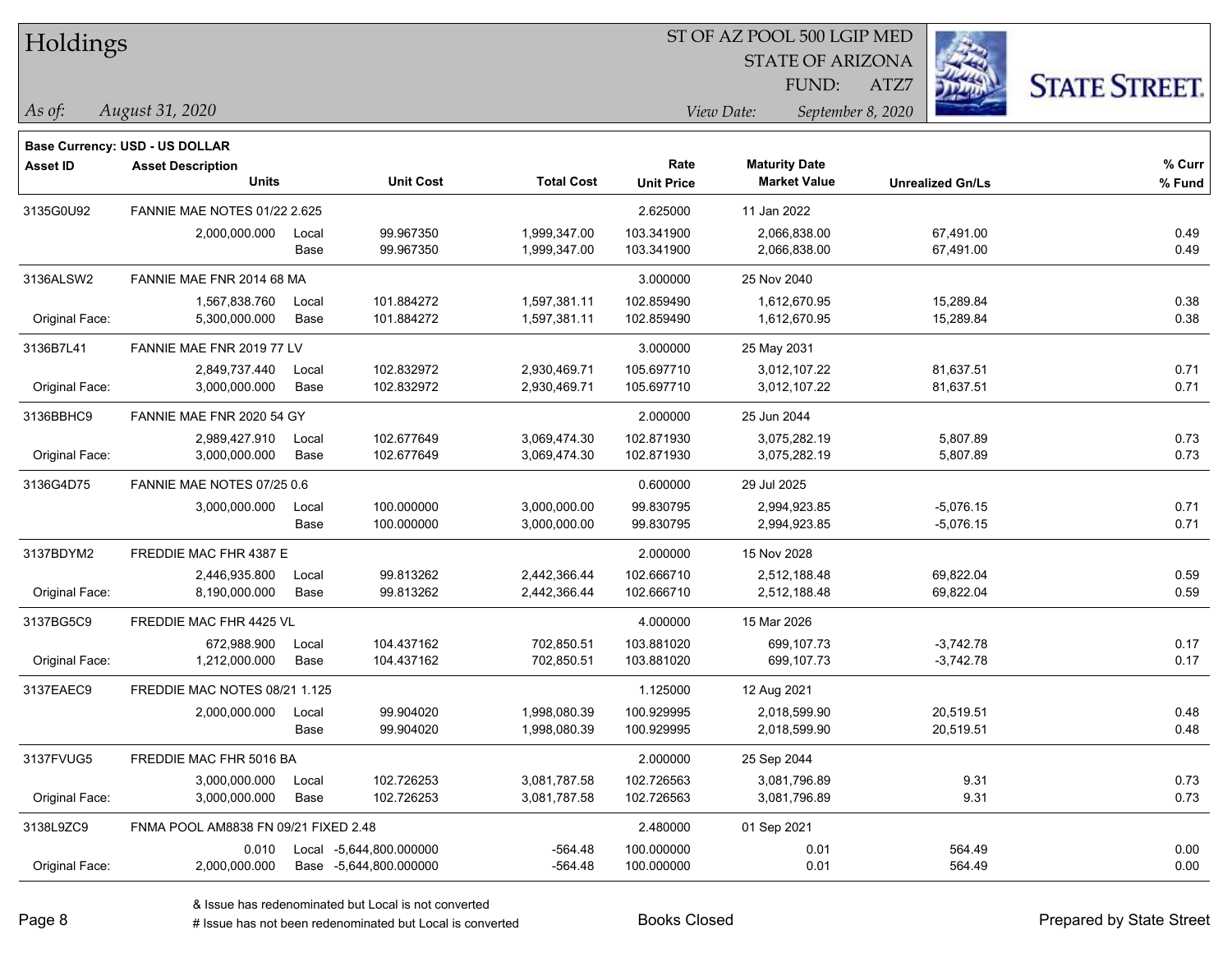| Holdings |
|----------|
|          |

STATE OF ARIZONA

ATZ7



*August 31, 2020 As of: View Date: September 8, 2020*

**Base Currency: USD - US DOLLAR**

FUND:

| Asset ID       | <b>Asset Description</b><br><b>Units</b> |       | <b>Unit Cost</b>        | <b>Total Cost</b> | Rate<br><b>Unit Price</b> | <b>Maturity Date</b><br><b>Market Value</b> | <b>Unrealized Gn/Ls</b> | % Curr<br>% Fund |
|----------------|------------------------------------------|-------|-------------------------|-------------------|---------------------------|---------------------------------------------|-------------------------|------------------|
| 3135G0U92      | <b>FANNIE MAE NOTES 01/22 2.625</b>      |       |                         |                   | 2.625000                  | 11 Jan 2022                                 |                         |                  |
|                | 2,000,000.000                            | Local | 99.967350               | 1,999,347.00      | 103.341900                | 2,066,838.00                                | 67,491.00               | 0.49             |
|                |                                          | Base  | 99.967350               | 1,999,347.00      | 103.341900                | 2,066,838.00                                | 67,491.00               | 0.49             |
| 3136ALSW2      | FANNIE MAE FNR 2014 68 MA                |       |                         |                   | 3.000000                  | 25 Nov 2040                                 |                         |                  |
|                | 1,567,838.760                            | Local | 101.884272              | 1,597,381.11      | 102.859490                | 1,612,670.95                                | 15,289.84               | 0.38             |
| Original Face: | 5,300,000.000                            | Base  | 101.884272              | 1,597,381.11      | 102.859490                | 1,612,670.95                                | 15,289.84               | 0.38             |
| 3136B7L41      | FANNIE MAE FNR 2019 77 LV                |       |                         |                   | 3.000000                  | 25 May 2031                                 |                         |                  |
|                | 2,849,737.440                            | Local | 102.832972              | 2,930,469.71      | 105.697710                | 3,012,107.22                                | 81,637.51               | 0.71             |
| Original Face: | 3,000,000.000                            | Base  | 102.832972              | 2,930,469.71      | 105.697710                | 3,012,107.22                                | 81,637.51               | 0.71             |
| 3136BBHC9      | FANNIE MAE FNR 2020 54 GY                |       |                         |                   | 2.000000                  | 25 Jun 2044                                 |                         |                  |
|                | 2,989,427.910                            | Local | 102.677649              | 3,069,474.30      | 102.871930                | 3,075,282.19                                | 5,807.89                | 0.73             |
| Original Face: | 3,000,000.000                            | Base  | 102.677649              | 3,069,474.30      | 102.871930                | 3,075,282.19                                | 5,807.89                | 0.73             |
| 3136G4D75      | FANNIE MAE NOTES 07/25 0.6               |       |                         |                   | 0.600000                  | 29 Jul 2025                                 |                         |                  |
|                | 3,000,000.000                            | Local | 100.000000              | 3,000,000.00      | 99.830795                 | 2,994,923.85                                | -5,076.15               | 0.71             |
|                |                                          | Base  | 100.000000              | 3,000,000.00      | 99.830795                 | 2,994,923.85                                | $-5,076.15$             | 0.71             |
| 3137BDYM2      | FREDDIE MAC FHR 4387 E                   |       |                         |                   | 2.000000                  | 15 Nov 2028                                 |                         |                  |
|                | 2,446,935.800                            | Local | 99.813262               | 2,442,366.44      | 102.666710                | 2,512,188.48                                | 69,822.04               | 0.59             |
| Original Face: | 8,190,000.000                            | Base  | 99.813262               | 2,442,366.44      | 102.666710                | 2,512,188.48                                | 69,822.04               | 0.59             |
| 3137BG5C9      | <b>FREDDIE MAC FHR 4425 VL</b>           |       |                         |                   | 4.000000                  | 15 Mar 2026                                 |                         |                  |
|                | 672.988.900                              | Local | 104.437162              | 702,850.51        | 103.881020                | 699.107.73                                  | $-3,742.78$             | 0.17             |
| Original Face: | 1,212,000.000                            | Base  | 104.437162              | 702,850.51        | 103.881020                | 699,107.73                                  | $-3,742.78$             | 0.17             |
| 3137EAEC9      | FREDDIE MAC NOTES 08/21 1.125            |       |                         |                   | 1.125000                  | 12 Aug 2021                                 |                         |                  |
|                | 2,000,000.000                            | Local | 99.904020               | 1,998,080.39      | 100.929995                | 2,018,599.90                                | 20,519.51               | 0.48             |
|                |                                          | Base  | 99.904020               | 1,998,080.39      | 100.929995                | 2,018,599.90                                | 20,519.51               | 0.48             |
| 3137FVUG5      | FREDDIE MAC FHR 5016 BA                  |       |                         |                   | 2.000000                  | 25 Sep 2044                                 |                         |                  |
|                | 3,000,000.000                            | Local | 102.726253              | 3,081,787.58      | 102.726563                | 3,081,796.89                                | 9.31                    | 0.73             |
| Original Face: | 3,000,000.000                            | Base  | 102.726253              | 3,081,787.58      | 102.726563                | 3,081,796.89                                | 9.31                    | 0.73             |
| 3138L9ZC9      | FNMA POOL AM8838 FN 09/21 FIXED 2.48     |       |                         |                   | 2.480000                  | 01 Sep 2021                                 |                         |                  |
|                | 0.010                                    |       | Local -5,644,800.000000 | $-564.48$         | 100.000000                | 0.01                                        | 564.49                  | 0.00             |
| Original Face: | 2,000,000.000                            |       | Base -5,644,800.000000  | $-564.48$         | 100.000000                | 0.01                                        | 564.49                  | 0.00             |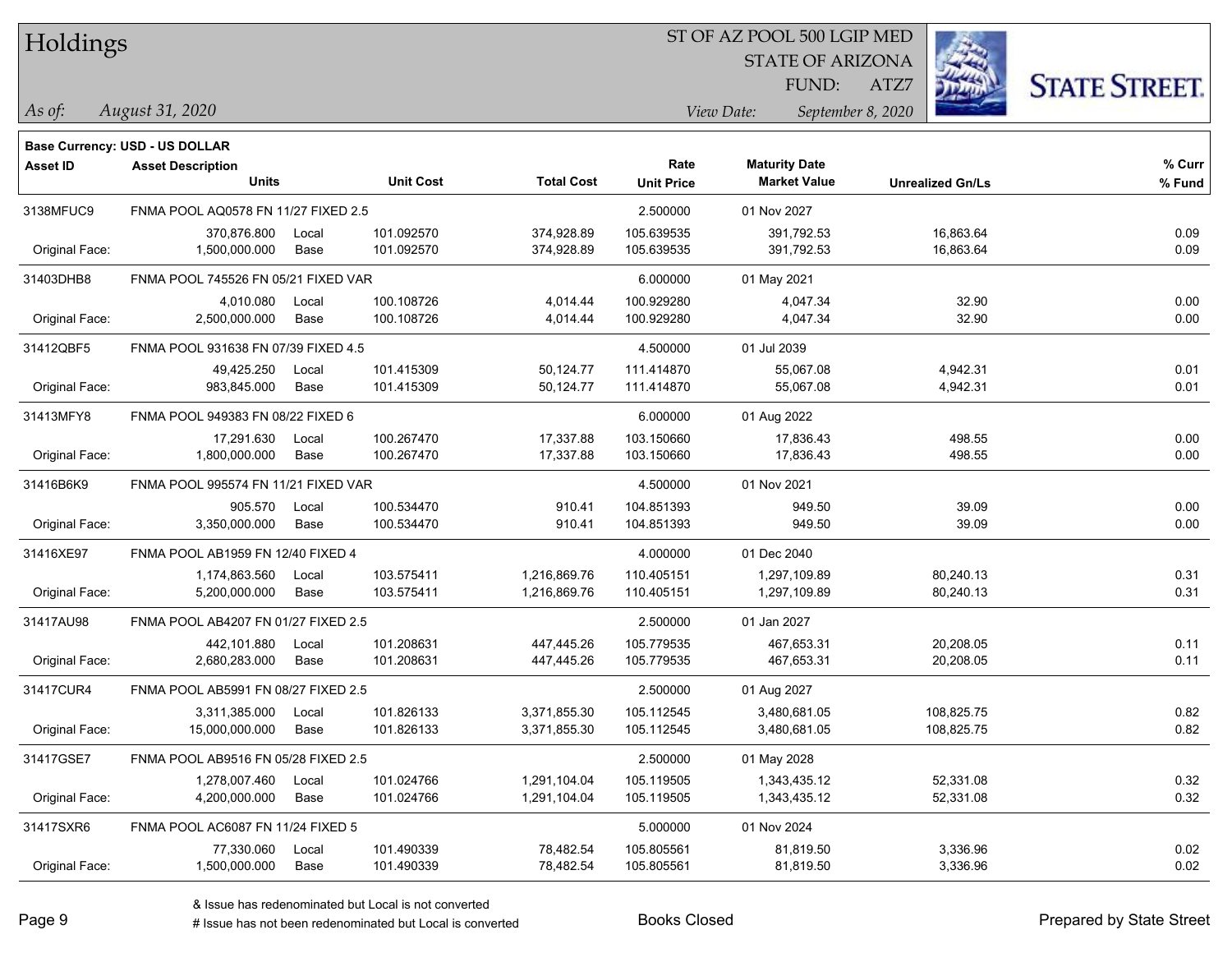#### ST OF AZ POOL 500 LGIP MED

STATE OF ARIZONA

ATZ7



**Base Currency: USD - US DOLLAR**

| <b>Asset ID</b> | <b>Asset Description</b>            |       |                  |                   | Rate              | <b>Maturity Date</b> |                         | % Curr |
|-----------------|-------------------------------------|-------|------------------|-------------------|-------------------|----------------------|-------------------------|--------|
|                 | <b>Units</b>                        |       | <b>Unit Cost</b> | <b>Total Cost</b> | <b>Unit Price</b> | <b>Market Value</b>  | <b>Unrealized Gn/Ls</b> | % Fund |
| 3138MFUC9       | FNMA POOL AQ0578 FN 11/27 FIXED 2.5 |       |                  |                   | 2.500000          | 01 Nov 2027          |                         |        |
|                 | 370,876.800                         | Local | 101.092570       | 374,928.89        | 105.639535        | 391,792.53           | 16,863.64               | 0.09   |
| Original Face:  | 1,500,000.000                       | Base  | 101.092570       | 374,928.89        | 105.639535        | 391,792.53           | 16,863.64               | 0.09   |
| 31403DHB8       | FNMA POOL 745526 FN 05/21 FIXED VAR |       |                  |                   | 6.000000          | 01 May 2021          |                         |        |
|                 | 4,010.080                           | Local | 100.108726       | 4,014.44          | 100.929280        | 4,047.34             | 32.90                   | 0.00   |
| Original Face:  | 2,500,000.000                       | Base  | 100.108726       | 4,014.44          | 100.929280        | 4,047.34             | 32.90                   | 0.00   |
| 31412QBF5       | FNMA POOL 931638 FN 07/39 FIXED 4.5 |       |                  |                   | 4.500000          | 01 Jul 2039          |                         |        |
|                 | 49,425.250                          | Local | 101.415309       | 50,124.77         | 111.414870        | 55,067.08            | 4,942.31                | 0.01   |
| Original Face:  | 983,845.000                         | Base  | 101.415309       | 50,124.77         | 111.414870        | 55,067.08            | 4,942.31                | 0.01   |
| 31413MFY8       | FNMA POOL 949383 FN 08/22 FIXED 6   |       |                  |                   | 6.000000          | 01 Aug 2022          |                         |        |
|                 | 17,291.630                          | Local | 100.267470       | 17,337.88         | 103.150660        | 17,836.43            | 498.55                  | 0.00   |
| Original Face:  | 1,800,000.000                       | Base  | 100.267470       | 17,337.88         | 103.150660        | 17,836.43            | 498.55                  | 0.00   |
| 31416B6K9       | FNMA POOL 995574 FN 11/21 FIXED VAR |       |                  |                   | 4.500000          | 01 Nov 2021          |                         |        |
|                 | 905.570                             | Local | 100.534470       | 910.41            | 104.851393        | 949.50               | 39.09                   | 0.00   |
| Original Face:  | 3,350,000.000                       | Base  | 100.534470       | 910.41            | 104.851393        | 949.50               | 39.09                   | 0.00   |
| 31416XE97       | FNMA POOL AB1959 FN 12/40 FIXED 4   |       |                  |                   | 4.000000          | 01 Dec 2040          |                         |        |
|                 | 1,174,863.560                       | Local | 103.575411       | 1,216,869.76      | 110.405151        | 1,297,109.89         | 80,240.13               | 0.31   |
| Original Face:  | 5,200,000.000                       | Base  | 103.575411       | 1,216,869.76      | 110.405151        | 1,297,109.89         | 80,240.13               | 0.31   |
| 31417AU98       | FNMA POOL AB4207 FN 01/27 FIXED 2.5 |       |                  |                   | 2.500000          | 01 Jan 2027          |                         |        |
|                 | 442,101.880                         | Local | 101.208631       | 447,445.26        | 105.779535        | 467,653.31           | 20,208.05               | 0.11   |
| Original Face:  | 2,680,283.000                       | Base  | 101.208631       | 447,445.26        | 105.779535        | 467,653.31           | 20,208.05               | 0.11   |
| 31417CUR4       | FNMA POOL AB5991 FN 08/27 FIXED 2.5 |       |                  |                   | 2.500000          | 01 Aug 2027          |                         |        |
|                 | 3,311,385.000                       | Local | 101.826133       | 3,371,855.30      | 105.112545        | 3,480,681.05         | 108,825.75              | 0.82   |
| Original Face:  | 15,000,000.000                      | Base  | 101.826133       | 3,371,855.30      | 105.112545        | 3,480,681.05         | 108,825.75              | 0.82   |
| 31417GSE7       | FNMA POOL AB9516 FN 05/28 FIXED 2.5 |       |                  |                   | 2.500000          | 01 May 2028          |                         |        |
|                 | 1,278,007.460                       | Local | 101.024766       | 1,291,104.04      | 105.119505        | 1,343,435.12         | 52,331.08               | 0.32   |
| Original Face:  | 4,200,000.000                       | Base  | 101.024766       | 1,291,104.04      | 105.119505        | 1,343,435.12         | 52,331.08               | 0.32   |
| 31417SXR6       | FNMA POOL AC6087 FN 11/24 FIXED 5   |       |                  |                   | 5.000000          | 01 Nov 2024          |                         |        |
|                 | 77,330.060                          | Local | 101.490339       | 78,482.54         | 105.805561        | 81,819.50            | 3,336.96                | 0.02   |
| Original Face:  | 1,500,000.000                       | Base  | 101.490339       | 78,482.54         | 105.805561        | 81,819.50            | 3,336.96                | 0.02   |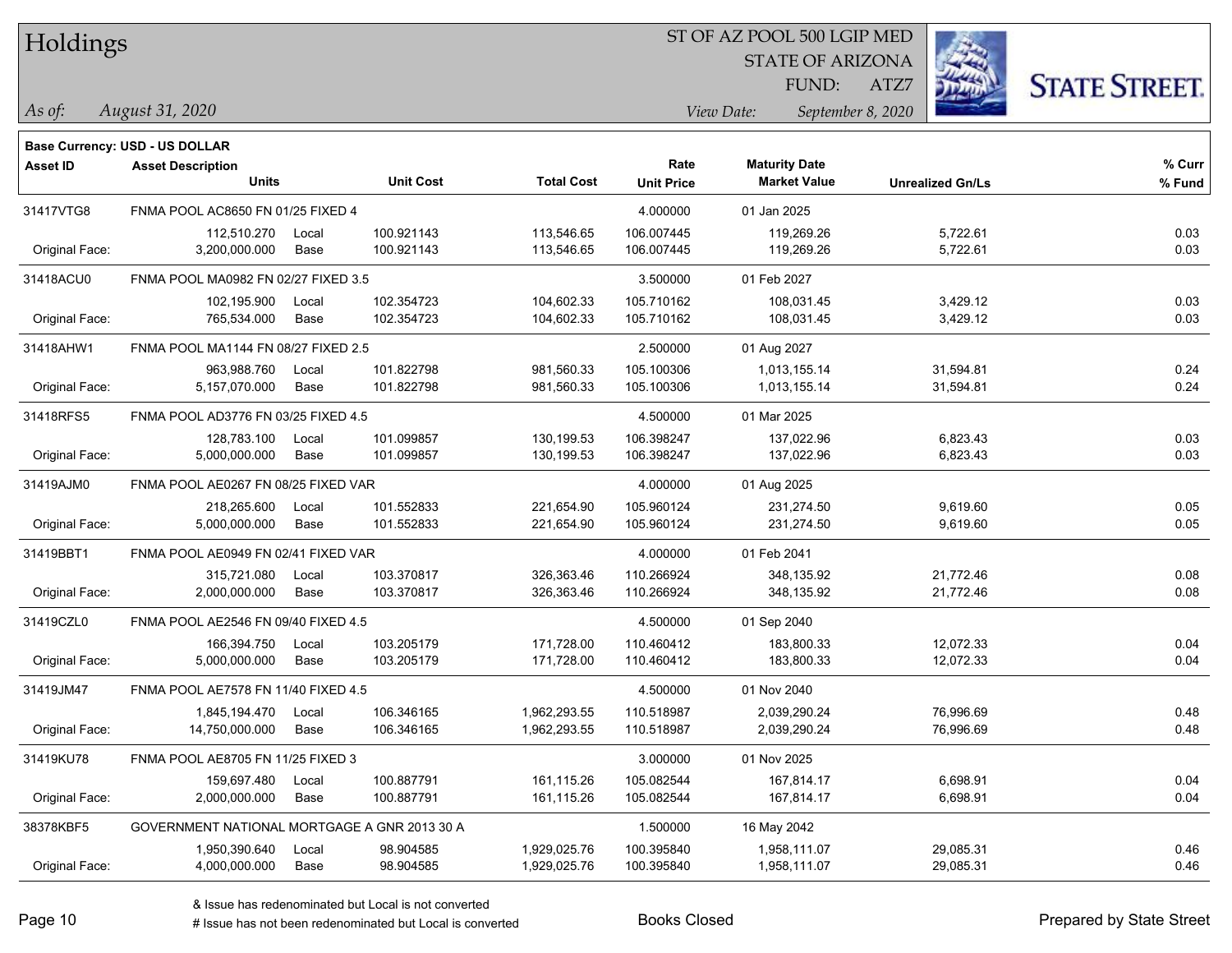#### ST OF AZ POOL 500 LGIP MED

STATE OF ARIZONA

ATZ7



**Base Currency: USD - US DOLLAR**

| <b>Asset ID</b> | <b>Asset Description</b>                     |                  |                   | Rate              | <b>Maturity Date</b> |                         | % Curr |
|-----------------|----------------------------------------------|------------------|-------------------|-------------------|----------------------|-------------------------|--------|
|                 | <b>Units</b>                                 | <b>Unit Cost</b> | <b>Total Cost</b> | <b>Unit Price</b> | <b>Market Value</b>  | <b>Unrealized Gn/Ls</b> | % Fund |
| 31417VTG8       | FNMA POOL AC8650 FN 01/25 FIXED 4            |                  |                   | 4.000000          | 01 Jan 2025          |                         |        |
|                 | 112,510.270<br>Local                         | 100.921143       | 113,546.65        | 106.007445        | 119,269.26           | 5,722.61                | 0.03   |
| Original Face:  | 3,200,000.000<br>Base                        | 100.921143       | 113,546.65        | 106.007445        | 119,269.26           | 5,722.61                | 0.03   |
| 31418ACU0       | FNMA POOL MA0982 FN 02/27 FIXED 3.5          |                  |                   | 3.500000          | 01 Feb 2027          |                         |        |
|                 | 102,195.900<br>Local                         | 102.354723       | 104,602.33        | 105.710162        | 108,031.45           | 3,429.12                | 0.03   |
| Original Face:  | 765,534.000<br>Base                          | 102.354723       | 104,602.33        | 105.710162        | 108,031.45           | 3,429.12                | 0.03   |
| 31418AHW1       | FNMA POOL MA1144 FN 08/27 FIXED 2.5          |                  |                   | 2.500000          | 01 Aug 2027          |                         |        |
|                 | 963,988.760<br>Local                         | 101.822798       | 981,560.33        | 105.100306        | 1,013,155.14         | 31,594.81               | 0.24   |
| Original Face:  | 5,157,070.000<br>Base                        | 101.822798       | 981,560.33        | 105.100306        | 1,013,155.14         | 31,594.81               | 0.24   |
| 31418RFS5       | FNMA POOL AD3776 FN 03/25 FIXED 4.5          |                  |                   | 4.500000          | 01 Mar 2025          |                         |        |
|                 | 128,783.100<br>Local                         | 101.099857       | 130,199.53        | 106.398247        | 137,022.96           | 6,823.43                | 0.03   |
| Original Face:  | 5,000,000.000<br>Base                        | 101.099857       | 130,199.53        | 106.398247        | 137,022.96           | 6,823.43                | 0.03   |
| 31419AJM0       | FNMA POOL AE0267 FN 08/25 FIXED VAR          |                  |                   | 4.000000          | 01 Aug 2025          |                         |        |
|                 | 218,265.600<br>Local                         | 101.552833       | 221,654.90        | 105.960124        | 231,274.50           | 9,619.60                | 0.05   |
| Original Face:  | 5,000,000.000<br>Base                        | 101.552833       | 221,654.90        | 105.960124        | 231,274.50           | 9,619.60                | 0.05   |
| 31419BBT1       | FNMA POOL AE0949 FN 02/41 FIXED VAR          |                  |                   | 4.000000          | 01 Feb 2041          |                         |        |
|                 | 315.721.080<br>Local                         | 103.370817       | 326,363.46        | 110.266924        | 348,135.92           | 21,772.46               | 0.08   |
| Original Face:  | 2,000,000.000<br>Base                        | 103.370817       | 326,363.46        | 110.266924        | 348,135.92           | 21,772.46               | 0.08   |
| 31419CZL0       | FNMA POOL AE2546 FN 09/40 FIXED 4.5          |                  |                   | 4.500000          | 01 Sep 2040          |                         |        |
|                 | 166,394.750<br>Local                         | 103.205179       | 171,728.00        | 110.460412        | 183,800.33           | 12,072.33               | 0.04   |
| Original Face:  | Base<br>5,000,000.000                        | 103.205179       | 171,728.00        | 110.460412        | 183,800.33           | 12,072.33               | 0.04   |
| 31419JM47       | FNMA POOL AE7578 FN 11/40 FIXED 4.5          |                  |                   | 4.500000          | 01 Nov 2040          |                         |        |
|                 | 1,845,194.470<br>Local                       | 106.346165       | 1,962,293.55      | 110.518987        | 2,039,290.24         | 76,996.69               | 0.48   |
| Original Face:  | 14,750,000.000<br>Base                       | 106.346165       | 1,962,293.55      | 110.518987        | 2,039,290.24         | 76,996.69               | 0.48   |
| 31419KU78       | FNMA POOL AE8705 FN 11/25 FIXED 3            |                  |                   | 3.000000          | 01 Nov 2025          |                         |        |
|                 | 159,697.480<br>Local                         | 100.887791       | 161,115.26        | 105.082544        | 167,814.17           | 6,698.91                | 0.04   |
| Original Face:  | Base<br>2,000,000.000                        | 100.887791       | 161,115.26        | 105.082544        | 167,814.17           | 6,698.91                | 0.04   |
| 38378KBF5       | GOVERNMENT NATIONAL MORTGAGE A GNR 2013 30 A |                  |                   | 1.500000          | 16 May 2042          |                         |        |
|                 | 1,950,390.640<br>Local                       | 98.904585        | 1,929,025.76      | 100.395840        | 1,958,111.07         | 29,085.31               | 0.46   |
| Original Face:  | 4,000,000.000<br>Base                        | 98.904585        | 1,929,025.76      | 100.395840        | 1,958,111.07         | 29,085.31               | 0.46   |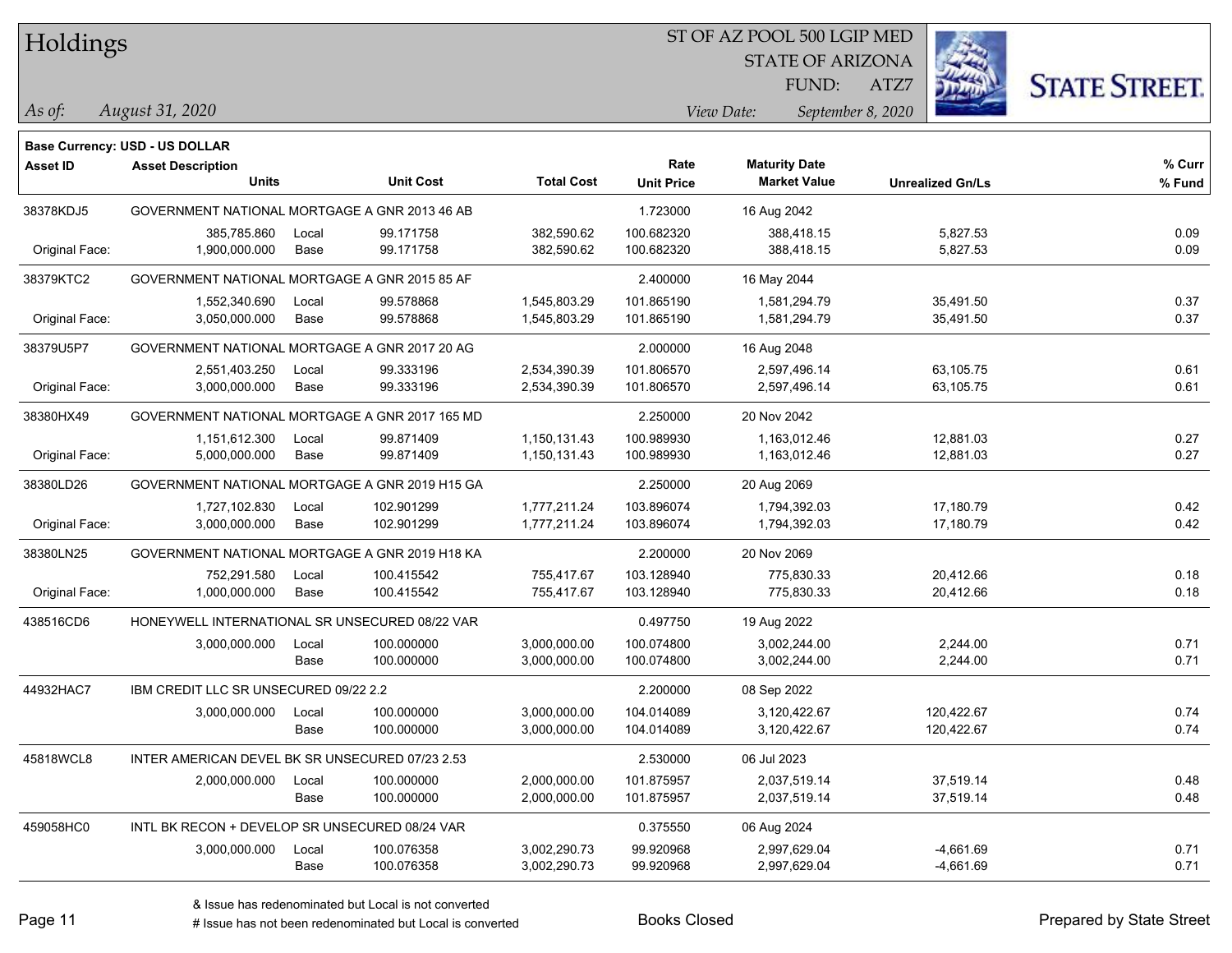#### ST OF AZ POOL 500 LGIP MED

STATE OF ARIZONA

ATZ7



**Base Currency: USD - US DOLLAR**

| <b>Asset ID</b> | <b>Asset Description</b><br><b>Units</b>        |       | <b>Unit Cost</b> | <b>Total Cost</b> | Rate<br><b>Unit Price</b> | <b>Maturity Date</b><br><b>Market Value</b> | <b>Unrealized Gn/Ls</b> | % Curr<br>% Fund |
|-----------------|-------------------------------------------------|-------|------------------|-------------------|---------------------------|---------------------------------------------|-------------------------|------------------|
|                 |                                                 |       |                  |                   |                           |                                             |                         |                  |
| 38378KDJ5       | GOVERNMENT NATIONAL MORTGAGE A GNR 2013 46 AB   |       |                  |                   | 1.723000                  | 16 Aug 2042                                 |                         |                  |
|                 | 385,785.860                                     | Local | 99.171758        | 382,590.62        | 100.682320                | 388,418.15                                  | 5,827.53                | 0.09             |
| Original Face:  | 1,900,000.000                                   | Base  | 99.171758        | 382,590.62        | 100.682320                | 388,418.15                                  | 5,827.53                | 0.09             |
| 38379KTC2       | GOVERNMENT NATIONAL MORTGAGE A GNR 2015 85 AF   |       |                  |                   | 2.400000                  | 16 May 2044                                 |                         |                  |
|                 | 1,552,340.690                                   | Local | 99.578868        | 1,545,803.29      | 101.865190                | 1,581,294.79                                | 35,491.50               | 0.37             |
| Original Face:  | 3,050,000.000                                   | Base  | 99.578868        | 1,545,803.29      | 101.865190                | 1,581,294.79                                | 35,491.50               | 0.37             |
| 38379U5P7       | GOVERNMENT NATIONAL MORTGAGE A GNR 2017 20 AG   |       |                  |                   | 2.000000                  | 16 Aug 2048                                 |                         |                  |
|                 | 2,551,403.250                                   | Local | 99.333196        | 2,534,390.39      | 101.806570                | 2,597,496.14                                | 63,105.75               | 0.61             |
| Original Face:  | 3,000,000.000                                   | Base  | 99.333196        | 2,534,390.39      | 101.806570                | 2,597,496.14                                | 63,105.75               | 0.61             |
| 38380HX49       | GOVERNMENT NATIONAL MORTGAGE A GNR 2017 165 MD  |       |                  |                   | 2.250000                  | 20 Nov 2042                                 |                         |                  |
|                 | 1,151,612.300                                   | Local | 99.871409        | 1,150,131.43      | 100.989930                | 1,163,012.46                                | 12,881.03               | 0.27             |
| Original Face:  | 5,000,000.000                                   | Base  | 99.871409        | 1,150,131.43      | 100.989930                | 1,163,012.46                                | 12,881.03               | 0.27             |
| 38380LD26       | GOVERNMENT NATIONAL MORTGAGE A GNR 2019 H15 GA  |       |                  |                   | 2.250000                  | 20 Aug 2069                                 |                         |                  |
|                 | 1,727,102.830                                   | Local | 102.901299       | 1,777,211.24      | 103.896074                | 1,794,392.03                                | 17,180.79               | 0.42             |
| Original Face:  | 3,000,000.000                                   | Base  | 102.901299       | 1,777,211.24      | 103.896074                | 1,794,392.03                                | 17,180.79               | 0.42             |
| 38380LN25       | GOVERNMENT NATIONAL MORTGAGE A GNR 2019 H18 KA  |       |                  |                   | 2.200000                  | 20 Nov 2069                                 |                         |                  |
|                 | 752,291.580                                     | Local | 100.415542       | 755,417.67        | 103.128940                | 775,830.33                                  | 20,412.66               | 0.18             |
| Original Face:  | 1,000,000.000                                   | Base  | 100.415542       | 755,417.67        | 103.128940                | 775,830.33                                  | 20,412.66               | 0.18             |
| 438516CD6       | HONEYWELL INTERNATIONAL SR UNSECURED 08/22 VAR  |       |                  |                   | 0.497750                  | 19 Aug 2022                                 |                         |                  |
|                 | 3,000,000.000                                   | Local | 100.000000       | 3,000,000.00      | 100.074800                | 3.002.244.00                                | 2,244.00                | 0.71             |
|                 |                                                 | Base  | 100.000000       | 3,000,000.00      | 100.074800                | 3,002,244.00                                | 2,244.00                | 0.71             |
| 44932HAC7       | IBM CREDIT LLC SR UNSECURED 09/22 2.2           |       |                  |                   | 2.200000                  | 08 Sep 2022                                 |                         |                  |
|                 | 3,000,000.000                                   | Local | 100.000000       | 3,000,000.00      | 104.014089                | 3,120,422.67                                | 120,422.67              | 0.74             |
|                 |                                                 | Base  | 100.000000       | 3,000,000.00      | 104.014089                | 3,120,422.67                                | 120,422.67              | 0.74             |
| 45818WCL8       | INTER AMERICAN DEVEL BK SR UNSECURED 07/23 2.53 |       |                  |                   | 2.530000                  | 06 Jul 2023                                 |                         |                  |
|                 | 2,000,000.000                                   | Local | 100.000000       | 2,000,000.00      | 101.875957                | 2.037.519.14                                | 37,519.14               | 0.48             |
|                 |                                                 | Base  | 100.000000       | 2,000,000.00      | 101.875957                | 2,037,519.14                                | 37,519.14               | 0.48             |
| 459058HC0       | INTL BK RECON + DEVELOP SR UNSECURED 08/24 VAR  |       |                  |                   | 0.375550                  | 06 Aug 2024                                 |                         |                  |
|                 | 3,000,000.000                                   | Local | 100.076358       | 3,002,290.73      | 99.920968                 | 2,997,629.04                                | $-4,661.69$             | 0.71             |
|                 |                                                 | Base  | 100.076358       | 3,002,290.73      | 99.920968                 | 2,997,629.04                                | $-4,661.69$             | 0.71             |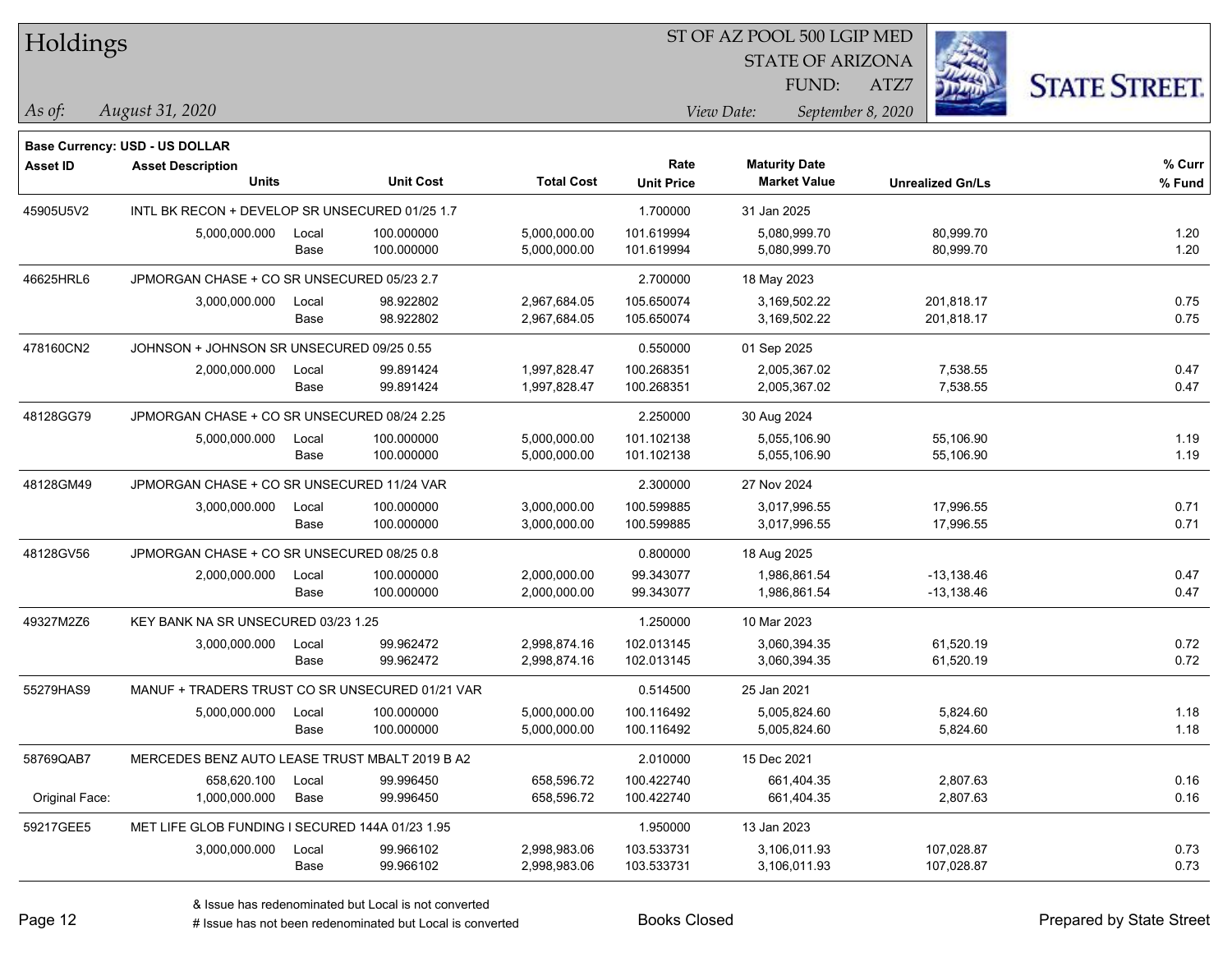| Holdings        |                                                 |       |                  |                   |                   | ST OF AZ POOL 500 LGIP MED |                         |                      |
|-----------------|-------------------------------------------------|-------|------------------|-------------------|-------------------|----------------------------|-------------------------|----------------------|
|                 |                                                 |       |                  |                   |                   | <b>STATE OF ARIZONA</b>    |                         |                      |
|                 |                                                 |       |                  |                   |                   | FUND:                      | ATZ7                    | <b>STATE STREET.</b> |
| As of:          | August 31, 2020                                 |       |                  |                   |                   | View Date:                 | September 8, 2020       |                      |
|                 | <b>Base Currency: USD - US DOLLAR</b>           |       |                  |                   |                   |                            |                         |                      |
| <b>Asset ID</b> | <b>Asset Description</b>                        |       |                  |                   | Rate              | <b>Maturity Date</b>       |                         | % Curr               |
|                 | <b>Units</b>                                    |       | <b>Unit Cost</b> | <b>Total Cost</b> | <b>Unit Price</b> | <b>Market Value</b>        | <b>Unrealized Gn/Ls</b> | % Fund               |
| 45905U5V2       | INTL BK RECON + DEVELOP SR UNSECURED 01/25 1.7  |       |                  |                   | 1.700000          | 31 Jan 2025                |                         |                      |
|                 | 5,000,000.000                                   | Local | 100.000000       | 5,000,000.00      | 101.619994        | 5,080,999.70               | 80,999.70               | 1.20                 |
|                 |                                                 | Base  | 100.000000       | 5,000,000.00      | 101.619994        | 5,080,999.70               | 80,999.70               | 1.20                 |
| 46625HRL6       | JPMORGAN CHASE + CO SR UNSECURED 05/23 2.7      |       |                  |                   | 2.700000          | 18 May 2023                |                         |                      |
|                 | 3,000,000.000                                   | Local | 98.922802        | 2,967,684.05      | 105.650074        | 3,169,502.22               | 201,818.17              | 0.75                 |
|                 |                                                 | Base  | 98.922802        | 2,967,684.05      | 105.650074        | 3,169,502.22               | 201,818.17              | 0.75                 |
| 478160CN2       | JOHNSON + JOHNSON SR UNSECURED 09/25 0.55       |       |                  |                   | 0.550000          | 01 Sep 2025                |                         |                      |
|                 | 2,000,000.000                                   | Local | 99.891424        | 1,997,828.47      | 100.268351        | 2,005,367.02               | 7,538.55                | 0.47                 |
|                 |                                                 | Base  | 99.891424        | 1,997,828.47      | 100.268351        | 2,005,367.02               | 7,538.55                | 0.47                 |
| 48128GG79       | JPMORGAN CHASE + CO SR UNSECURED 08/24 2.25     |       |                  |                   | 2.250000          | 30 Aug 2024                |                         |                      |
|                 | 5,000,000.000                                   | Local | 100.000000       | 5,000,000.00      | 101.102138        | 5,055,106.90               | 55,106.90               | 1.19                 |
|                 |                                                 | Base  | 100.000000       | 5,000,000.00      | 101.102138        | 5,055,106.90               | 55,106.90               | 1.19                 |
| 48128GM49       | JPMORGAN CHASE + CO SR UNSECURED 11/24 VAR      |       |                  |                   | 2.300000          | 27 Nov 2024                |                         |                      |
|                 | 3,000,000.000                                   | Local | 100.000000       | 3,000,000.00      | 100.599885        | 3,017,996.55               | 17,996.55               | 0.71                 |
|                 |                                                 | Base  | 100.000000       | 3,000,000.00      | 100.599885        | 3,017,996.55               | 17,996.55               | 0.71                 |
| 48128GV56       | JPMORGAN CHASE + CO SR UNSECURED 08/25 0.8      |       |                  |                   | 0.800000          | 18 Aug 2025                |                         |                      |
|                 | 2,000,000.000                                   | Local | 100.000000       | 2,000,000.00      | 99.343077         | 1,986,861.54               | $-13,138.46$            | 0.47                 |
|                 |                                                 | Base  | 100.000000       | 2,000,000.00      | 99.343077         | 1,986,861.54               | $-13,138.46$            | 0.47                 |
| 49327M2Z6       | KEY BANK NA SR UNSECURED 03/23 1.25             |       |                  |                   | 1.250000          | 10 Mar 2023                |                         |                      |
|                 | 3,000,000.000                                   | Local | 99.962472        | 2,998,874.16      | 102.013145        | 3,060,394.35               | 61,520.19               | 0.72                 |
|                 |                                                 | Base  | 99.962472        | 2,998,874.16      | 102.013145        | 3,060,394.35               | 61,520.19               | 0.72                 |
| 55279HAS9       | MANUF + TRADERS TRUST CO SR UNSECURED 01/21 VAR |       |                  |                   | 0.514500          | 25 Jan 2021                |                         |                      |
|                 | 5,000,000.000                                   | Local | 100.000000       | 5,000,000.00      | 100.116492        | 5,005,824.60               | 5,824.60                | 1.18                 |
|                 |                                                 | Base  | 100.000000       | 5,000,000.00      | 100.116492        | 5,005,824.60               | 5,824.60                | 1.18                 |
| 58769QAB7       | MERCEDES BENZ AUTO LEASE TRUST MBALT 2019 B A2  |       |                  |                   | 2.010000          | 15 Dec 2021                |                         |                      |
|                 | 658,620.100                                     | Local | 99.996450        | 658,596.72        | 100.422740        | 661,404.35                 | 2,807.63                | 0.16                 |
| Original Face:  | 1,000,000.000                                   | Base  | 99.996450        | 658,596.72        | 100.422740        | 661,404.35                 | 2,807.63                | 0.16                 |
| 59217GEE5       | MET LIFE GLOB FUNDING I SECURED 144A 01/23 1.95 |       |                  |                   | 1.950000          | 13 Jan 2023                |                         |                      |
|                 | 3,000,000.000                                   | Local | 99.966102        | 2,998,983.06      | 103.533731        | 3,106,011.93               | 107,028.87              | 0.73                 |
|                 |                                                 | Base  | 99.966102        | 2,998,983.06      | 103.533731        | 3,106,011.93               | 107,028.87              | 0.73                 |

 $\overline{\phantom{a}}$ 

 $\overline{\phantom{0}}$ 

 $\overline{\phantom{a}}$ 

 $\overline{\phantom{0}}$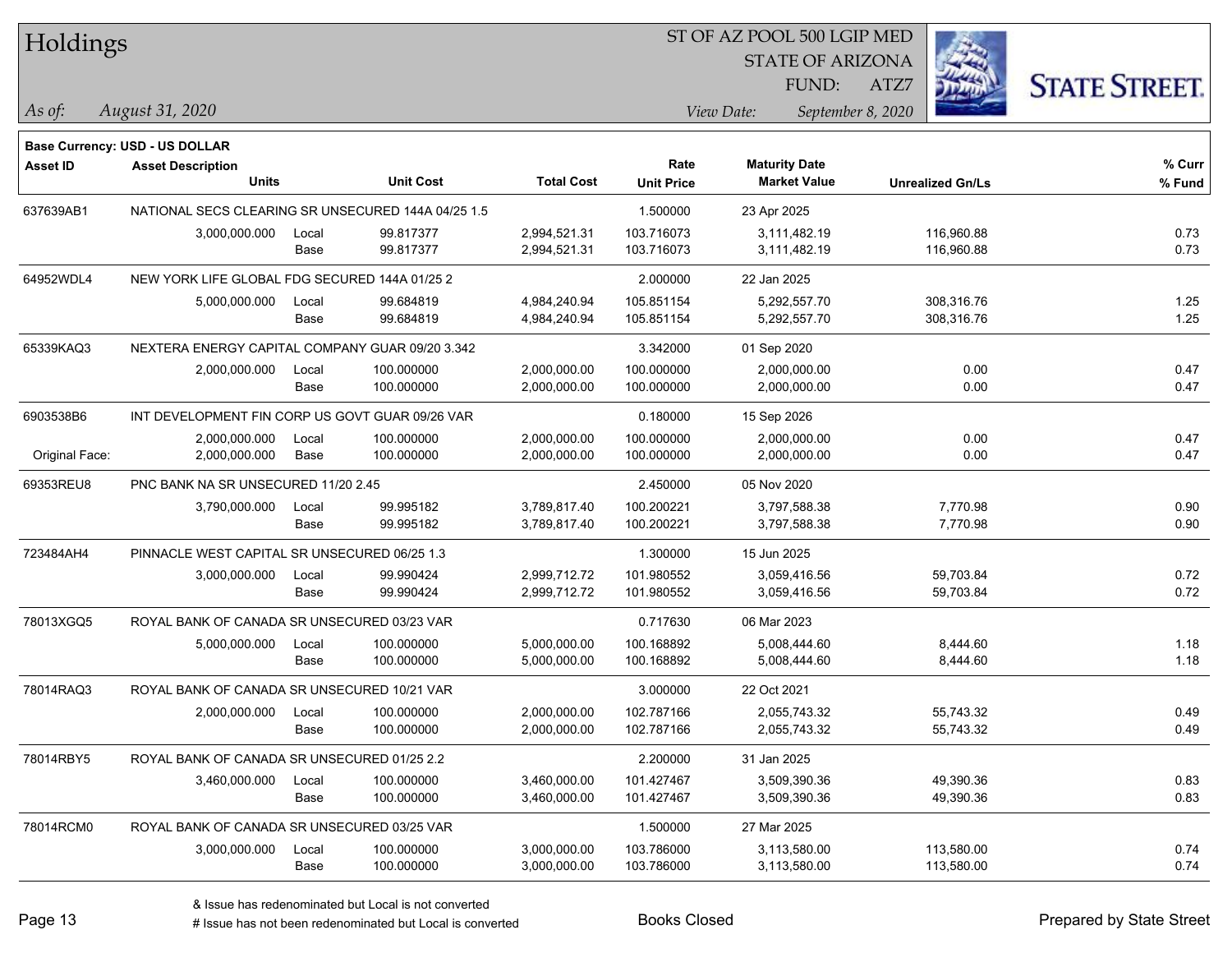| Holdings |  |
|----------|--|
|----------|--|

STATE OF ARIZONA

ATZ7



**Base Currency: USD - US DOLLAR**

| Asset ID       | <b>Asset Description</b>                           |       |                  |                   | Rate              | <b>Maturity Date</b> |                         | % Curr |
|----------------|----------------------------------------------------|-------|------------------|-------------------|-------------------|----------------------|-------------------------|--------|
|                | <b>Units</b>                                       |       | <b>Unit Cost</b> | <b>Total Cost</b> | <b>Unit Price</b> | <b>Market Value</b>  | <b>Unrealized Gn/Ls</b> | % Fund |
| 637639AB1      | NATIONAL SECS CLEARING SR UNSECURED 144A 04/25 1.5 |       |                  |                   | 1.500000          | 23 Apr 2025          |                         |        |
|                | 3,000,000.000                                      | Local | 99.817377        | 2,994,521.31      | 103.716073        | 3,111,482.19         | 116,960.88              | 0.73   |
|                |                                                    | Base  | 99.817377        | 2,994,521.31      | 103.716073        | 3,111,482.19         | 116,960.88              | 0.73   |
| 64952WDL4      | NEW YORK LIFE GLOBAL FDG SECURED 144A 01/25 2      |       |                  |                   | 2.000000          | 22 Jan 2025          |                         |        |
|                | 5,000,000.000                                      | Local | 99.684819        | 4,984,240.94      | 105.851154        | 5,292,557.70         | 308,316.76              | 1.25   |
|                |                                                    | Base  | 99.684819        | 4,984,240.94      | 105.851154        | 5,292,557.70         | 308,316.76              | 1.25   |
| 65339KAQ3      | NEXTERA ENERGY CAPITAL COMPANY GUAR 09/20 3.342    |       |                  |                   | 3.342000          | 01 Sep 2020          |                         |        |
|                | 2,000,000.000                                      | Local | 100.000000       | 2,000,000.00      | 100.000000        | 2,000,000.00         | 0.00                    | 0.47   |
|                |                                                    | Base  | 100.000000       | 2,000,000.00      | 100.000000        | 2,000,000.00         | 0.00                    | 0.47   |
| 6903538B6      | INT DEVELOPMENT FIN CORP US GOVT GUAR 09/26 VAR    |       |                  |                   | 0.180000          | 15 Sep 2026          |                         |        |
|                | 2,000,000.000                                      | Local | 100.000000       | 2,000,000.00      | 100.000000        | 2,000,000.00         | 0.00                    | 0.47   |
| Original Face: | 2,000,000.000                                      | Base  | 100.000000       | 2,000,000.00      | 100.000000        | 2,000,000.00         | 0.00                    | 0.47   |
| 69353REU8      | PNC BANK NA SR UNSECURED 11/20 2.45                |       |                  |                   | 2.450000          | 05 Nov 2020          |                         |        |
|                | 3,790,000.000                                      | Local | 99.995182        | 3,789,817.40      | 100.200221        | 3.797.588.38         | 7,770.98                | 0.90   |
|                |                                                    | Base  | 99.995182        | 3,789,817.40      | 100.200221        | 3,797,588.38         | 7,770.98                | 0.90   |
| 723484AH4      | PINNACLE WEST CAPITAL SR UNSECURED 06/25 1.3       |       |                  | 1.300000          | 15 Jun 2025       |                      |                         |        |
|                | 3,000,000.000                                      | Local | 99.990424        | 2,999,712.72      | 101.980552        | 3,059,416.56         | 59,703.84               | 0.72   |
|                |                                                    | Base  | 99.990424        | 2,999,712.72      | 101.980552        | 3,059,416.56         | 59,703.84               | 0.72   |
| 78013XGQ5      | ROYAL BANK OF CANADA SR UNSECURED 03/23 VAR        |       |                  |                   | 0.717630          | 06 Mar 2023          |                         |        |
|                | 5,000,000.000                                      | Local | 100.000000       | 5,000,000.00      | 100.168892        | 5,008,444.60         | 8,444.60                | 1.18   |
|                |                                                    | Base  | 100.000000       | 5,000,000.00      | 100.168892        | 5,008,444.60         | 8,444.60                | 1.18   |
| 78014RAQ3      | ROYAL BANK OF CANADA SR UNSECURED 10/21 VAR        |       |                  |                   | 3.000000          | 22 Oct 2021          |                         |        |
|                | 2,000,000.000                                      | Local | 100.000000       | 2,000,000.00      | 102.787166        | 2,055,743.32         | 55,743.32               | 0.49   |
|                |                                                    | Base  | 100.000000       | 2,000,000.00      | 102.787166        | 2,055,743.32         | 55,743.32               | 0.49   |
| 78014RBY5      | ROYAL BANK OF CANADA SR UNSECURED 01/25 2.2        |       |                  |                   | 2.200000          | 31 Jan 2025          |                         |        |
|                | 3,460,000.000                                      | Local | 100.000000       | 3,460,000.00      | 101.427467        | 3,509,390.36         | 49,390.36               | 0.83   |
|                |                                                    | Base  | 100.000000       | 3,460,000.00      | 101.427467        | 3,509,390.36         | 49,390.36               | 0.83   |
| 78014RCM0      | ROYAL BANK OF CANADA SR UNSECURED 03/25 VAR        |       |                  |                   | 1.500000          | 27 Mar 2025          |                         |        |
|                | 3,000,000.000                                      | Local | 100.000000       | 3,000,000.00      | 103.786000        | 3,113,580.00         | 113,580.00              | 0.74   |
|                |                                                    | Base  | 100.000000       | 3,000,000.00      | 103.786000        | 3,113,580.00         | 113,580.00              | 0.74   |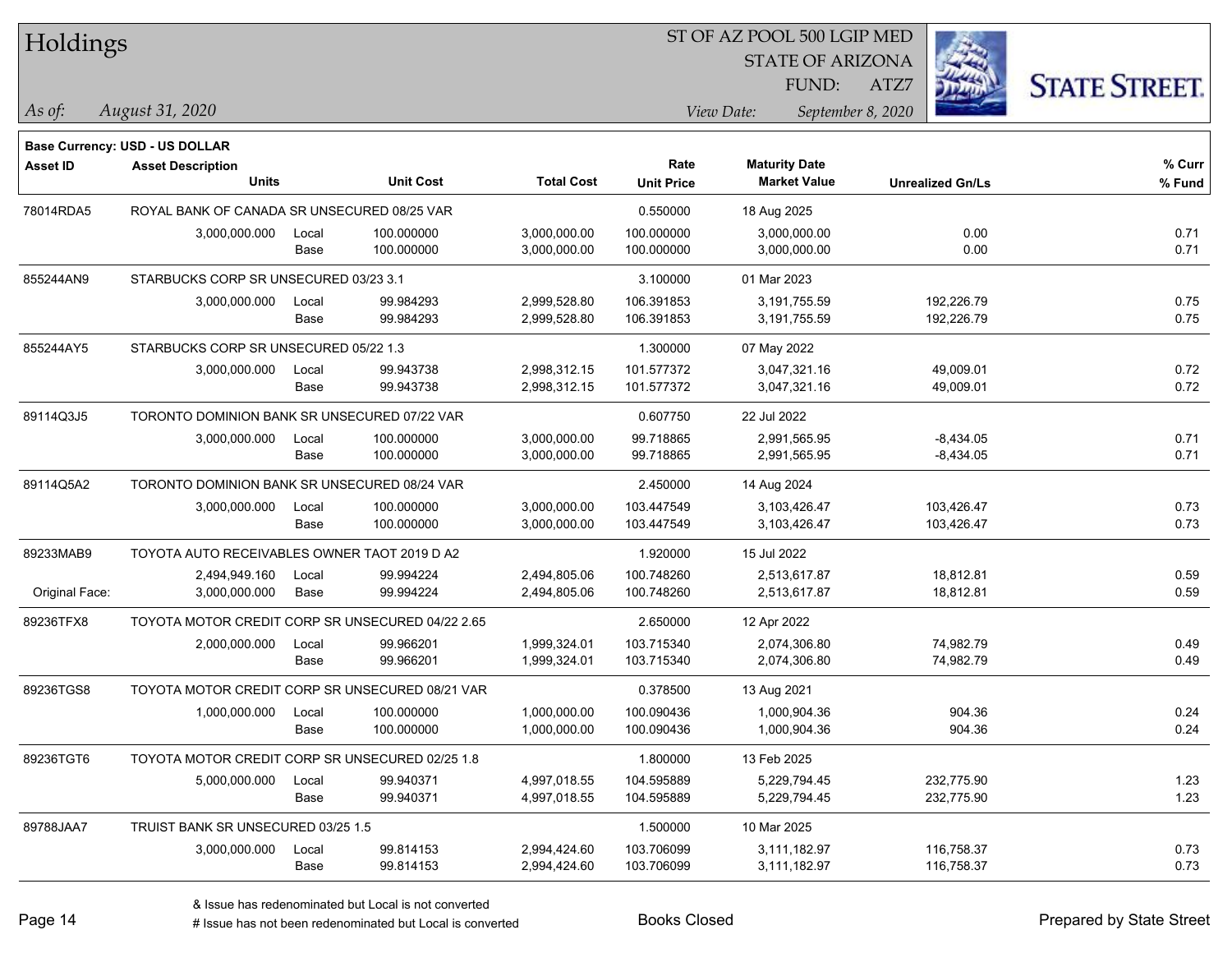| Holdings        |                                                  |       |                  |                   | ST OF AZ POOL 500 LGIP MED |                      |                         |                      |
|-----------------|--------------------------------------------------|-------|------------------|-------------------|----------------------------|----------------------|-------------------------|----------------------|
|                 |                                                  |       |                  |                   |                            |                      | <b>STATE OF ARIZONA</b> |                      |
|                 |                                                  |       |                  |                   |                            | FUND:                | ATZ7                    | <b>STATE STREET.</b> |
| As of:          | August 31, 2020                                  |       |                  |                   |                            | View Date:           | September 8, 2020       |                      |
|                 | <b>Base Currency: USD - US DOLLAR</b>            |       |                  |                   |                            |                      |                         |                      |
| <b>Asset ID</b> | <b>Asset Description</b>                         |       |                  |                   | Rate                       | <b>Maturity Date</b> |                         | $%$ Curr             |
|                 | <b>Units</b>                                     |       | <b>Unit Cost</b> | <b>Total Cost</b> | <b>Unit Price</b>          | <b>Market Value</b>  | <b>Unrealized Gn/Ls</b> | % Fund               |
| 78014RDA5       | ROYAL BANK OF CANADA SR UNSECURED 08/25 VAR      |       |                  |                   | 0.550000                   | 18 Aug 2025          |                         |                      |
|                 | 3,000,000.000                                    | Local | 100.000000       | 3,000,000.00      | 100.000000                 | 3,000,000.00         | 0.00                    | 0.71                 |
|                 |                                                  | Base  | 100.000000       | 3,000,000.00      | 100.000000                 | 3,000,000.00         | 0.00                    | 0.71                 |
| 855244AN9       | STARBUCKS CORP SR UNSECURED 03/23 3.1            |       |                  |                   | 3.100000                   | 01 Mar 2023          |                         |                      |
|                 | 3,000,000.000                                    | Local | 99.984293        | 2,999,528.80      | 106.391853                 | 3,191,755.59         | 192,226.79              | 0.75                 |
|                 |                                                  | Base  | 99.984293        | 2,999,528.80      | 106.391853                 | 3,191,755.59         | 192,226.79              | 0.75                 |
| 855244AY5       | STARBUCKS CORP SR UNSECURED 05/22 1.3            |       |                  |                   | 1.300000                   | 07 May 2022          |                         |                      |
|                 | 3,000,000.000                                    | Local | 99.943738        | 2,998,312.15      | 101.577372                 | 3,047,321.16         | 49,009.01               | 0.72                 |
|                 |                                                  | Base  | 99.943738        | 2,998,312.15      | 101.577372                 | 3,047,321.16         | 49,009.01               | 0.72                 |
| 89114Q3J5       | TORONTO DOMINION BANK SR UNSECURED 07/22 VAR     |       |                  |                   | 0.607750                   | 22 Jul 2022          |                         |                      |
|                 | 3,000,000.000                                    | Local | 100.000000       | 3,000,000.00      | 99.718865                  | 2,991,565.95         | $-8,434.05$             | 0.71                 |
|                 |                                                  | Base  | 100.000000       | 3,000,000.00      | 99.718865                  | 2,991,565.95         | $-8,434.05$             | 0.71                 |
| 89114Q5A2       | TORONTO DOMINION BANK SR UNSECURED 08/24 VAR     |       |                  |                   | 2.450000                   | 14 Aug 2024          |                         |                      |
|                 | 3,000,000.000                                    | Local | 100.000000       | 3,000,000.00      | 103.447549                 | 3,103,426.47         | 103,426.47              | 0.73                 |
|                 |                                                  | Base  | 100.000000       | 3,000,000.00      | 103.447549                 | 3,103,426.47         | 103,426.47              | 0.73                 |
| 89233MAB9       | TOYOTA AUTO RECEIVABLES OWNER TAOT 2019 D A2     |       |                  |                   | 1.920000                   | 15 Jul 2022          |                         |                      |
|                 | 2,494,949.160                                    | Local | 99.994224        | 2,494,805.06      | 100.748260                 | 2,513,617.87         | 18,812.81               | 0.59                 |
| Original Face:  | 3,000,000.000                                    | Base  | 99.994224        | 2,494,805.06      | 100.748260                 | 2,513,617.87         | 18,812.81               | 0.59                 |
| 89236TFX8       | TOYOTA MOTOR CREDIT CORP SR UNSECURED 04/22 2.65 |       |                  |                   | 2.650000                   | 12 Apr 2022          |                         |                      |
|                 | 2,000,000.000                                    | Local | 99.966201        | 1,999,324.01      | 103.715340                 | 2,074,306.80         | 74,982.79               | 0.49                 |
|                 |                                                  | Base  | 99.966201        | 1,999,324.01      | 103.715340                 | 2,074,306.80         | 74,982.79               | 0.49                 |
| 89236TGS8       | TOYOTA MOTOR CREDIT CORP SR UNSECURED 08/21 VAR  |       |                  |                   | 0.378500                   | 13 Aug 2021          |                         |                      |
|                 | 1,000,000.000                                    | Local | 100.000000       | 1,000,000.00      | 100.090436                 | 1,000,904.36         | 904.36                  | 0.24                 |
|                 |                                                  | Base  | 100.000000       | 1,000,000.00      | 100.090436                 | 1,000,904.36         | 904.36                  | 0.24                 |
| 89236TGT6       | TOYOTA MOTOR CREDIT CORP SR UNSECURED 02/25 1.8  |       |                  |                   | 1.800000                   | 13 Feb 2025          |                         |                      |
|                 | 5,000,000.000                                    | Local | 99.940371        | 4,997,018.55      | 104.595889                 | 5,229,794.45         | 232,775.90              | 1.23                 |
|                 |                                                  | Base  | 99.940371        | 4,997,018.55      | 104.595889                 | 5,229,794.45         | 232,775.90              | 1.23                 |
| 89788JAA7       | TRUIST BANK SR UNSECURED 03/25 1.5               |       |                  |                   | 1.500000                   | 10 Mar 2025          |                         |                      |
|                 | 3,000,000.000                                    | Local | 99.814153        | 2,994,424.60      | 103.706099                 | 3,111,182.97         | 116,758.37              | 0.73                 |
|                 |                                                  | Base  | 99.814153        | 2,994,424.60      | 103.706099                 | 3,111,182.97         | 116,758.37              | 0.73                 |

 $\overline{\phantom{a}}$ 

 $\overline{\phantom{a}}$ 

 $\overline{\phantom{0}}$ 

 $\overline{\phantom{a}}$ 

 $\overline{\phantom{0}}$ 

denote the redenominated but Local is converted Books Closed Prepared by State Street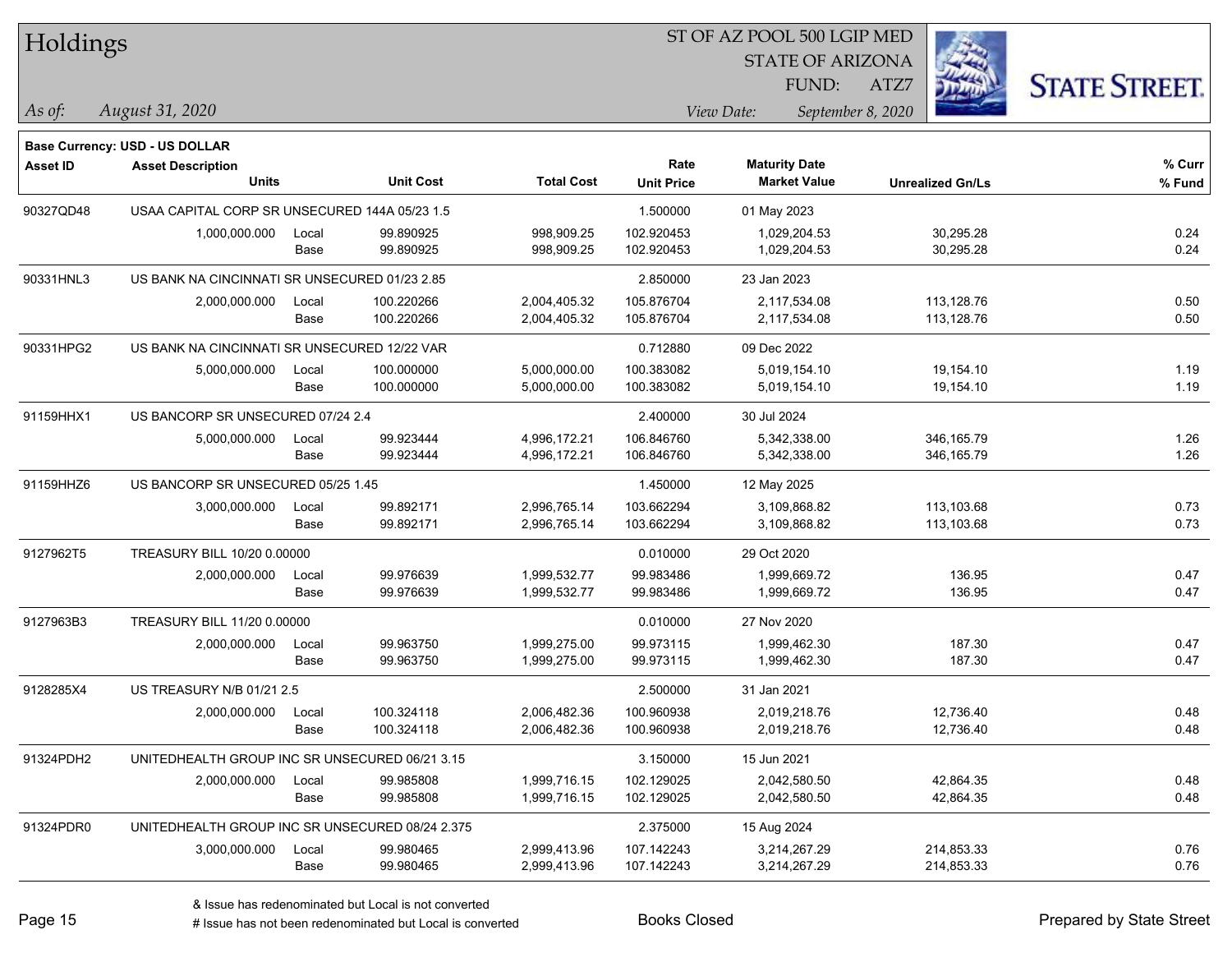| Holdings        |                                                 |               |                          |                              |                           | ST OF AZ POOL 500 LGIP MED                  |                          |                      |
|-----------------|-------------------------------------------------|---------------|--------------------------|------------------------------|---------------------------|---------------------------------------------|--------------------------|----------------------|
|                 |                                                 |               |                          |                              |                           | <b>STATE OF ARIZONA</b>                     |                          |                      |
|                 |                                                 |               |                          |                              |                           | FUND:                                       | ATZ7                     | <b>STATE STREET.</b> |
| As of:          | August 31, 2020                                 |               |                          |                              |                           | View Date:                                  | September 8, 2020        |                      |
|                 |                                                 |               |                          |                              |                           |                                             |                          |                      |
|                 | <b>Base Currency: USD - US DOLLAR</b>           |               |                          |                              |                           |                                             |                          |                      |
| <b>Asset ID</b> | <b>Asset Description</b><br>Units               |               | <b>Unit Cost</b>         | <b>Total Cost</b>            | Rate<br><b>Unit Price</b> | <b>Maturity Date</b><br><b>Market Value</b> | <b>Unrealized Gn/Ls</b>  | % Curr<br>% Fund     |
|                 |                                                 |               |                          |                              |                           |                                             |                          |                      |
| 90327QD48       | USAA CAPITAL CORP SR UNSECURED 144A 05/23 1.5   |               |                          |                              | 1.500000                  | 01 May 2023                                 |                          |                      |
|                 | 1,000,000.000                                   | Local<br>Base | 99.890925<br>99.890925   | 998,909.25<br>998,909.25     | 102.920453<br>102.920453  | 1,029,204.53<br>1,029,204.53                | 30,295.28<br>30,295.28   | 0.24<br>0.24         |
|                 |                                                 |               |                          |                              |                           |                                             |                          |                      |
| 90331HNL3       | US BANK NA CINCINNATI SR UNSECURED 01/23 2.85   |               |                          |                              | 2.850000                  | 23 Jan 2023                                 |                          |                      |
|                 | 2,000,000.000                                   | Local<br>Base | 100.220266<br>100.220266 | 2,004,405.32<br>2,004,405.32 | 105.876704<br>105.876704  | 2,117,534.08<br>2,117,534.08                | 113,128.76<br>113,128.76 | 0.50<br>0.50         |
| 90331HPG2       | US BANK NA CINCINNATI SR UNSECURED 12/22 VAR    |               |                          |                              | 0.712880                  | 09 Dec 2022                                 |                          |                      |
|                 |                                                 |               | 100.000000               | 5,000,000.00                 | 100.383082                | 5,019,154.10                                |                          | 1.19                 |
|                 | 5,000,000.000                                   | Local<br>Base | 100.000000               | 5,000,000.00                 | 100.383082                | 5,019,154.10                                | 19,154.10<br>19,154.10   | 1.19                 |
| 91159HHX1       | US BANCORP SR UNSECURED 07/24 2.4               |               |                          |                              | 2.400000                  | 30 Jul 2024                                 |                          |                      |
|                 | 5,000,000.000                                   | Local         | 99.923444                | 4,996,172.21                 | 106.846760                | 5,342,338.00                                | 346, 165.79              | 1.26                 |
|                 |                                                 | Base          | 99.923444                | 4,996,172.21                 | 106.846760                | 5,342,338.00                                | 346, 165.79              | 1.26                 |
| 91159HHZ6       | US BANCORP SR UNSECURED 05/25 1.45              |               |                          |                              | 1.450000                  | 12 May 2025                                 |                          |                      |
|                 | 3,000,000.000                                   | Local         | 99.892171                | 2,996,765.14                 | 103.662294                | 3,109,868.82                                | 113,103.68               | 0.73                 |
|                 |                                                 | Base          | 99.892171                | 2,996,765.14                 | 103.662294                | 3,109,868.82                                | 113,103.68               | 0.73                 |
| 9127962T5       | TREASURY BILL 10/20 0.00000                     |               |                          |                              | 0.010000                  | 29 Oct 2020                                 |                          |                      |
|                 | 2,000,000.000                                   | Local         | 99.976639                | 1,999,532.77                 | 99.983486                 | 1,999,669.72                                | 136.95                   | 0.47                 |
|                 |                                                 | Base          | 99.976639                | 1,999,532.77                 | 99.983486                 | 1,999,669.72                                | 136.95                   | 0.47                 |
| 9127963B3       | TREASURY BILL 11/20 0.00000                     |               |                          |                              | 0.010000                  | 27 Nov 2020                                 |                          |                      |
|                 | 2,000,000.000                                   | Local         | 99.963750                | 1,999,275.00                 | 99.973115                 | 1,999,462.30                                | 187.30                   | 0.47                 |
|                 |                                                 | Base          | 99.963750                | 1,999,275.00                 | 99.973115                 | 1,999,462.30                                | 187.30                   | 0.47                 |
| 9128285X4       | US TREASURY N/B 01/21 2.5                       |               |                          |                              | 2.500000                  | 31 Jan 2021                                 |                          |                      |
|                 | 2,000,000.000                                   | Local         | 100.324118               | 2,006,482.36                 | 100.960938                | 2,019,218.76                                | 12,736.40                | 0.48                 |
|                 |                                                 | Base          | 100.324118               | 2,006,482.36                 | 100.960938                | 2,019,218.76                                | 12,736.40                | 0.48                 |
| 91324PDH2       | UNITEDHEALTH GROUP INC SR UNSECURED 06/21 3.15  |               |                          |                              | 3.150000                  | 15 Jun 2021                                 |                          |                      |
|                 | 2,000,000.000                                   | Local         | 99.985808                | 1,999,716.15                 | 102.129025                | 2,042,580.50                                | 42,864.35                | 0.48                 |
|                 |                                                 | Base          | 99.985808                | 1,999,716.15                 | 102.129025                | 2,042,580.50                                | 42,864.35                | 0.48                 |
| 91324PDR0       | UNITEDHEALTH GROUP INC SR UNSECURED 08/24 2.375 |               |                          |                              | 2.375000                  | 15 Aug 2024                                 |                          |                      |
|                 | 3,000,000.000                                   | Local         | 99.980465                | 2,999,413.96                 | 107.142243                | 3,214,267.29                                | 214,853.33               | 0.76                 |
|                 |                                                 | Base          | 99.980465                | 2,999,413.96                 | 107.142243                | 3,214,267.29                                | 214,853.33               | 0.76                 |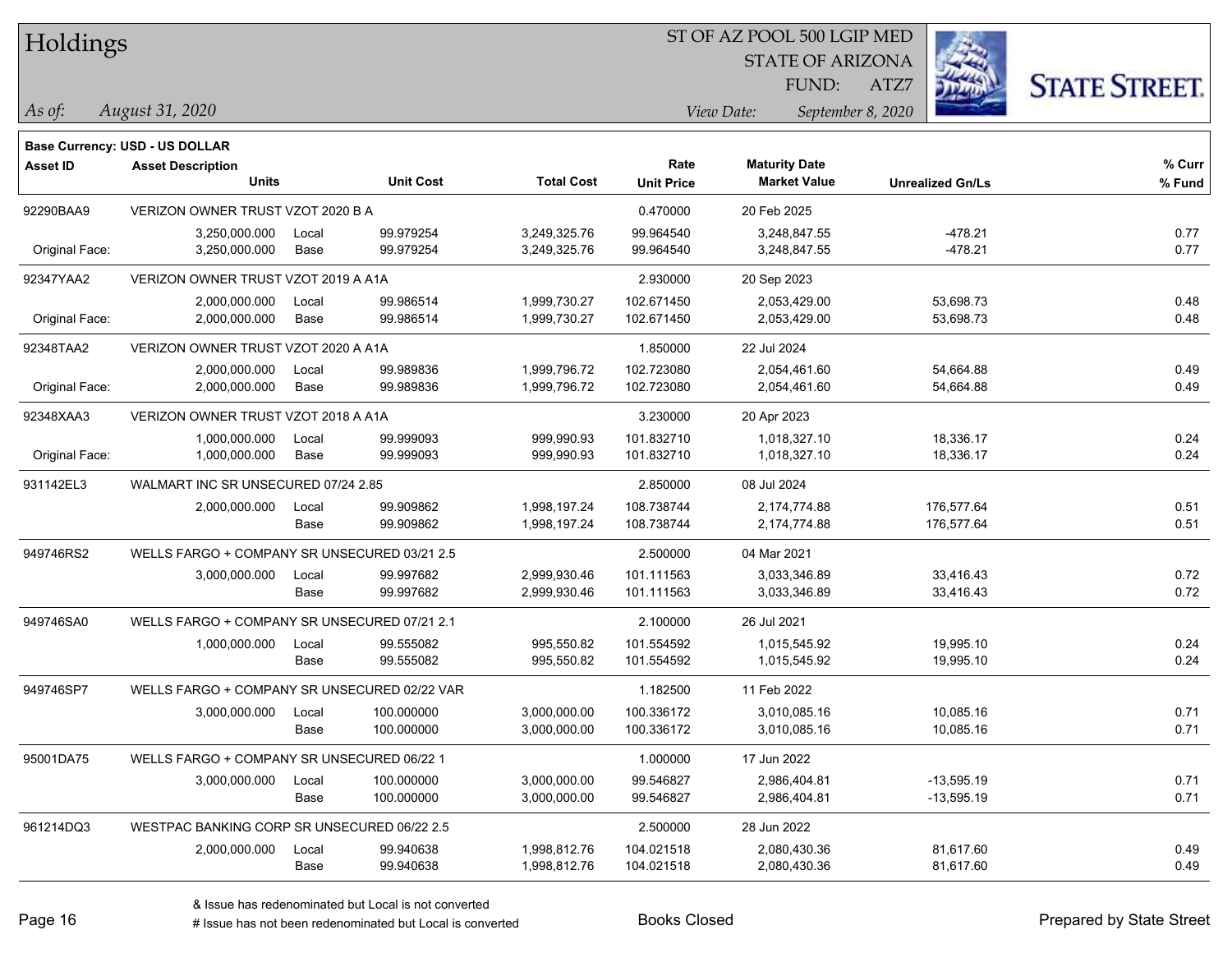| Holdings |
|----------|
|          |

STATE OF ARIZONA

ATZ7



**Base Currency: USD - US DOLLAR**

| <b>Asset ID</b> | <b>Asset Description</b>                     |       |                  |                   | Rate              | <b>Maturity Date</b> |                         | % Curr |
|-----------------|----------------------------------------------|-------|------------------|-------------------|-------------------|----------------------|-------------------------|--------|
|                 | <b>Units</b>                                 |       | <b>Unit Cost</b> | <b>Total Cost</b> | <b>Unit Price</b> | <b>Market Value</b>  | <b>Unrealized Gn/Ls</b> | % Fund |
| 92290BAA9       | VERIZON OWNER TRUST VZOT 2020 B A            |       |                  |                   | 0.470000          | 20 Feb 2025          |                         |        |
|                 | 3,250,000.000                                | Local | 99.979254        | 3,249,325.76      | 99.964540         | 3,248,847.55         | $-478.21$               | 0.77   |
| Original Face:  | 3,250,000.000                                | Base  | 99.979254        | 3,249,325.76      | 99.964540         | 3,248,847.55         | $-478.21$               | 0.77   |
| 92347YAA2       | VERIZON OWNER TRUST VZOT 2019 A A1A          |       |                  |                   | 2.930000          | 20 Sep 2023          |                         |        |
|                 | 2,000,000.000                                | Local | 99.986514        | 1,999,730.27      | 102.671450        | 2,053,429.00         | 53,698.73               | 0.48   |
| Original Face:  | 2,000,000.000                                | Base  | 99.986514        | 1,999,730.27      | 102.671450        | 2,053,429.00         | 53,698.73               | 0.48   |
| 92348TAA2       | VERIZON OWNER TRUST VZOT 2020 A A1A          |       |                  |                   | 1.850000          | 22 Jul 2024          |                         |        |
|                 | 2,000,000.000                                | Local | 99.989836        | 1,999,796.72      | 102.723080        | 2,054,461.60         | 54,664.88               | 0.49   |
| Original Face:  | 2,000,000.000                                | Base  | 99.989836        | 1,999,796.72      | 102.723080        | 2,054,461.60         | 54,664.88               | 0.49   |
| 92348XAA3       | VERIZON OWNER TRUST VZOT 2018 A A1A          |       |                  |                   | 3.230000          | 20 Apr 2023          |                         |        |
|                 | 1,000,000.000                                | Local | 99.999093        | 999,990.93        | 101.832710        | 1,018,327.10         | 18,336.17               | 0.24   |
| Original Face:  | 1,000,000.000                                | Base  | 99.999093        | 999,990.93        | 101.832710        | 1,018,327.10         | 18,336.17               | 0.24   |
| 931142EL3       | WALMART INC SR UNSECURED 07/24 2.85          |       |                  |                   | 2.850000          | 08 Jul 2024          |                         |        |
|                 | 2,000,000.000                                | Local | 99.909862        | 1,998,197.24      | 108.738744        | 2,174,774.88         | 176,577.64              | 0.51   |
|                 |                                              | Base  | 99.909862        | 1,998,197.24      | 108.738744        | 2,174,774.88         | 176,577.64              | 0.51   |
| 949746RS2       | WELLS FARGO + COMPANY SR UNSECURED 03/21 2.5 |       |                  |                   | 2.500000          | 04 Mar 2021          |                         |        |
|                 | 3,000,000.000                                | Local | 99.997682        | 2,999,930.46      | 101.111563        | 3,033,346.89         | 33,416.43               | 0.72   |
|                 |                                              | Base  | 99.997682        | 2,999,930.46      | 101.111563        | 3,033,346.89         | 33,416.43               | 0.72   |
| 949746SA0       | WELLS FARGO + COMPANY SR UNSECURED 07/21 2.1 |       |                  |                   | 2.100000          | 26 Jul 2021          |                         |        |
|                 | 1,000,000.000                                | Local | 99.555082        | 995,550.82        | 101.554592        | 1,015,545.92         | 19,995.10               | 0.24   |
|                 |                                              | Base  | 99.555082        | 995,550.82        | 101.554592        | 1,015,545.92         | 19,995.10               | 0.24   |
| 949746SP7       | WELLS FARGO + COMPANY SR UNSECURED 02/22 VAR |       |                  |                   | 1.182500          | 11 Feb 2022          |                         |        |
|                 | 3,000,000.000                                | Local | 100.000000       | 3,000,000.00      | 100.336172        | 3,010,085.16         | 10,085.16               | 0.71   |
|                 |                                              | Base  | 100.000000       | 3,000,000.00      | 100.336172        | 3,010,085.16         | 10,085.16               | 0.71   |
| 95001DA75       | WELLS FARGO + COMPANY SR UNSECURED 06/22 1   |       |                  |                   | 1.000000          | 17 Jun 2022          |                         |        |
|                 | 3,000,000.000                                | Local | 100.000000       | 3,000,000.00      | 99.546827         | 2,986,404.81         | $-13,595.19$            | 0.71   |
|                 |                                              | Base  | 100.000000       | 3,000,000.00      | 99.546827         | 2,986,404.81         | $-13,595.19$            | 0.71   |
| 961214DQ3       | WESTPAC BANKING CORP SR UNSECURED 06/22 2.5  |       |                  |                   | 2.500000          | 28 Jun 2022          |                         |        |
|                 | 2,000,000.000                                | Local | 99.940638        | 1,998,812.76      | 104.021518        | 2,080,430.36         | 81,617.60               | 0.49   |
|                 |                                              | Base  | 99.940638        | 1,998,812.76      | 104.021518        | 2,080,430.36         | 81,617.60               | 0.49   |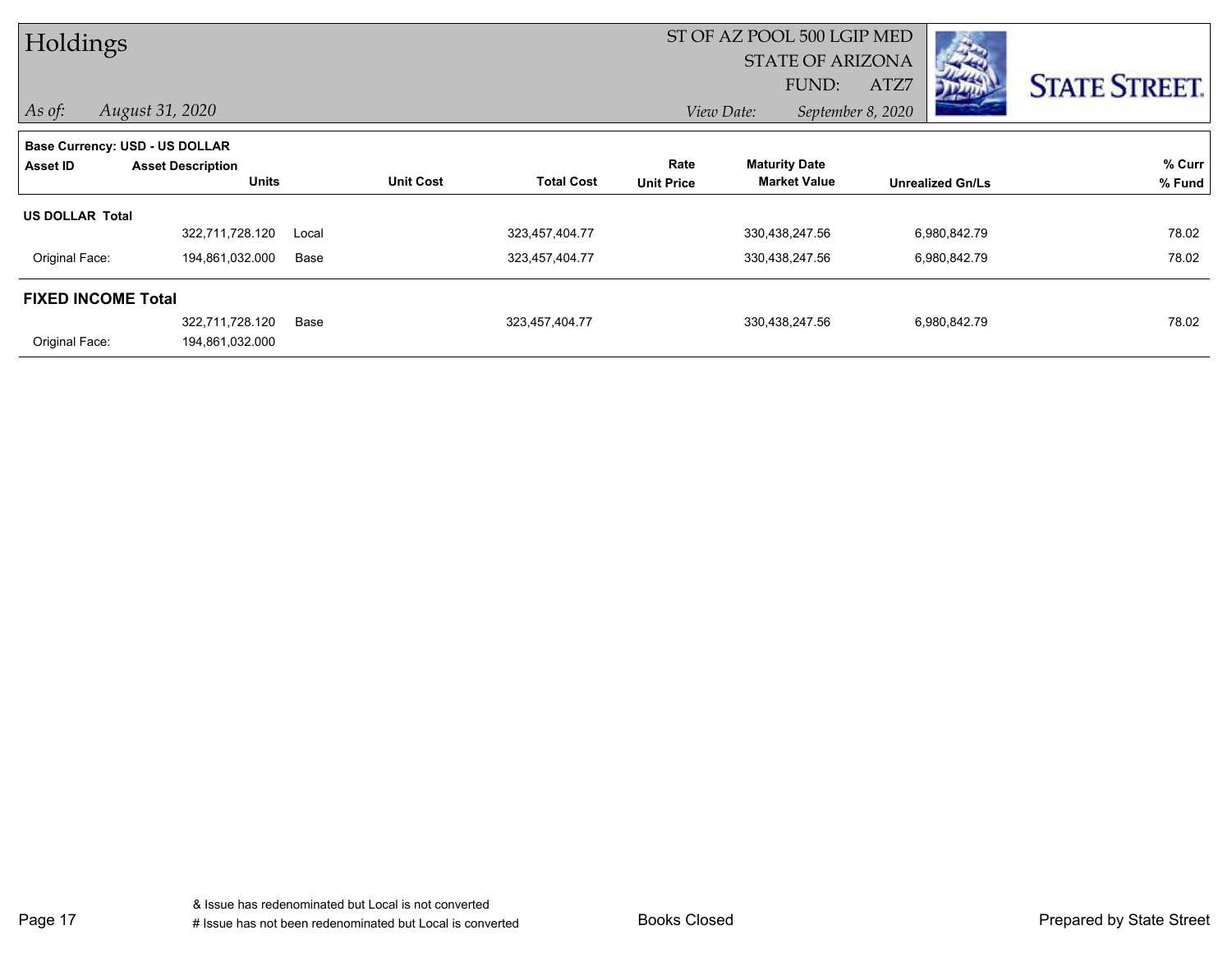| Holdings                  |                                |       |                  |                   |                   | ST OF AZ POOL 500 LGIP MED |                   |                         |                      |
|---------------------------|--------------------------------|-------|------------------|-------------------|-------------------|----------------------------|-------------------|-------------------------|----------------------|
|                           |                                |       |                  |                   |                   | <b>STATE OF ARIZONA</b>    |                   |                         |                      |
|                           |                                |       |                  |                   |                   | FUND:                      | ATZ7              | <b>JEAD</b>             | <b>STATE STREET.</b> |
| $\vert$ As of:            | August 31, 2020                |       |                  |                   |                   | View Date:                 | September 8, 2020 |                         |                      |
|                           | Base Currency: USD - US DOLLAR |       |                  |                   |                   |                            |                   |                         |                      |
| Asset ID                  | <b>Asset Description</b>       |       |                  |                   | Rate              | <b>Maturity Date</b>       |                   |                         | % Curr               |
|                           | <b>Units</b>                   |       | <b>Unit Cost</b> | <b>Total Cost</b> | <b>Unit Price</b> | <b>Market Value</b>        |                   | <b>Unrealized Gn/Ls</b> | % Fund               |
| <b>US DOLLAR Total</b>    |                                |       |                  |                   |                   |                            |                   |                         |                      |
|                           | 322,711,728.120                | Local |                  | 323,457,404.77    |                   | 330,438,247.56             |                   | 6,980,842.79            | 78.02                |
| Original Face:            | 194,861,032.000                | Base  |                  | 323,457,404.77    |                   | 330,438,247.56             |                   | 6,980,842.79            | 78.02                |
| <b>FIXED INCOME Total</b> |                                |       |                  |                   |                   |                            |                   |                         |                      |
|                           | 322,711,728.120                | Base  |                  | 323,457,404.77    |                   | 330,438,247.56             |                   | 6,980,842.79            | 78.02                |
| Original Face:            | 194,861,032.000                |       |                  |                   |                   |                            |                   |                         |                      |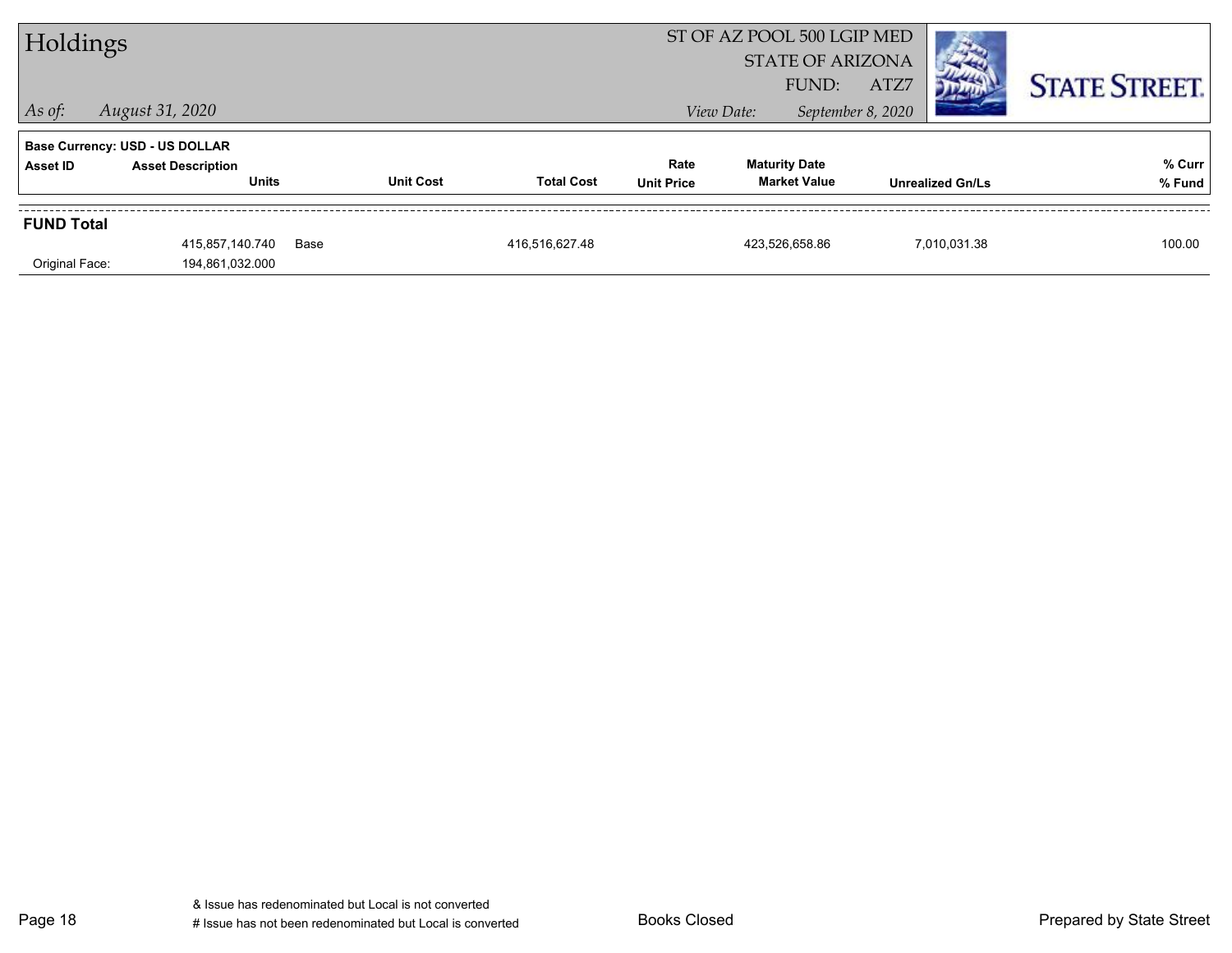| Holdings          |                                          |      |                  |                   | ST OF AZ POOL 500 LGIP MED<br><b>STATE OF ARIZONA</b><br>ATZ7<br>FUND: |                                             |                   |                         | <b>STATE STREET.</b> |
|-------------------|------------------------------------------|------|------------------|-------------------|------------------------------------------------------------------------|---------------------------------------------|-------------------|-------------------------|----------------------|
| $ $ As of:        | August 31, 2020                          |      |                  |                   |                                                                        | View Date:                                  | September 8, 2020 |                         |                      |
|                   | <b>Base Currency: USD - US DOLLAR</b>    |      |                  |                   |                                                                        |                                             |                   |                         |                      |
| Asset ID          | <b>Asset Description</b><br><b>Units</b> |      | <b>Unit Cost</b> | <b>Total Cost</b> | Rate<br><b>Unit Price</b>                                              | <b>Maturity Date</b><br><b>Market Value</b> |                   | <b>Unrealized Gn/Ls</b> | % Curr<br>% Fund     |
| <b>FUND Total</b> |                                          |      |                  |                   |                                                                        |                                             |                   |                         |                      |
|                   | 415,857,140.740                          | Base |                  | 416.516.627.48    |                                                                        | 423.526.658.86                              |                   | 7.010.031.38            | 100.00               |
| Original Face:    | 194,861,032.000                          |      |                  |                   |                                                                        |                                             |                   |                         |                      |

Page 18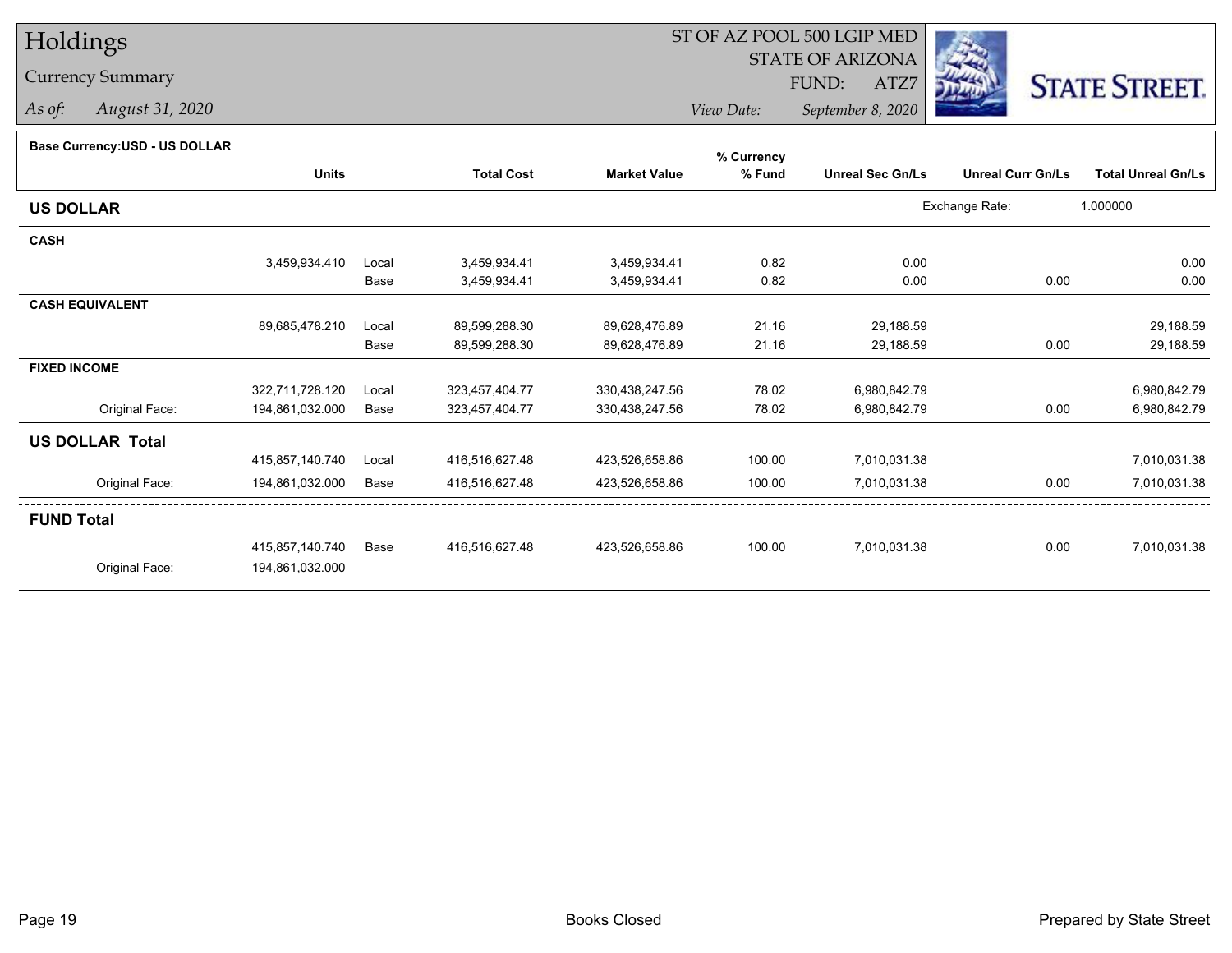### Currency Summary

*As of: August 31, 2020*

## ST OF AZ POOL 500 LGIP MED

 STATE OF ARIZONAFUND:

ATZ7



*View Date:September 8, 2020*

#### **Base Currency:USD - US DOLLAR**

|                        |                 |       |                   |                     | % Currency |                         |                          |                           |
|------------------------|-----------------|-------|-------------------|---------------------|------------|-------------------------|--------------------------|---------------------------|
|                        | <b>Units</b>    |       | <b>Total Cost</b> | <b>Market Value</b> | % Fund     | <b>Unreal Sec Gn/Ls</b> | <b>Unreal Curr Gn/Ls</b> | <b>Total Unreal Gn/Ls</b> |
| <b>US DOLLAR</b>       |                 |       |                   |                     |            |                         | Exchange Rate:           | 1.000000                  |
| <b>CASH</b>            |                 |       |                   |                     |            |                         |                          |                           |
|                        | 3,459,934.410   | Local | 3,459,934.41      | 3,459,934.41        | 0.82       | 0.00                    |                          | 0.00                      |
|                        |                 | Base  | 3,459,934.41      | 3,459,934.41        | 0.82       | 0.00                    | 0.00                     | 0.00                      |
| <b>CASH EQUIVALENT</b> |                 |       |                   |                     |            |                         |                          |                           |
|                        | 89,685,478.210  | Local | 89,599,288.30     | 89,628,476.89       | 21.16      | 29,188.59               |                          | 29,188.59                 |
|                        |                 | Base  | 89,599,288.30     | 89,628,476.89       | 21.16      | 29,188.59               | 0.00                     | 29,188.59                 |
| <b>FIXED INCOME</b>    |                 |       |                   |                     |            |                         |                          |                           |
|                        | 322,711,728.120 | Local | 323,457,404.77    | 330,438,247.56      | 78.02      | 6,980,842.79            |                          | 6,980,842.79              |
| Original Face:         | 194,861,032.000 | Base  | 323,457,404.77    | 330,438,247.56      | 78.02      | 6,980,842.79            | 0.00                     | 6,980,842.79              |
| <b>US DOLLAR Total</b> |                 |       |                   |                     |            |                         |                          |                           |
|                        | 415,857,140.740 | Local | 416,516,627.48    | 423,526,658.86      | 100.00     | 7,010,031.38            |                          | 7,010,031.38              |
| Original Face:         | 194,861,032.000 | Base  | 416,516,627.48    | 423,526,658.86      | 100.00     | 7,010,031.38            | 0.00                     | 7,010,031.38              |
| <b>FUND Total</b>      |                 |       |                   |                     |            |                         |                          |                           |
|                        | 415,857,140.740 | Base  | 416,516,627.48    | 423,526,658.86      | 100.00     | 7,010,031.38            | 0.00                     | 7,010,031.38              |
| Original Face:         | 194,861,032.000 |       |                   |                     |            |                         |                          |                           |
|                        |                 |       |                   |                     |            |                         |                          |                           |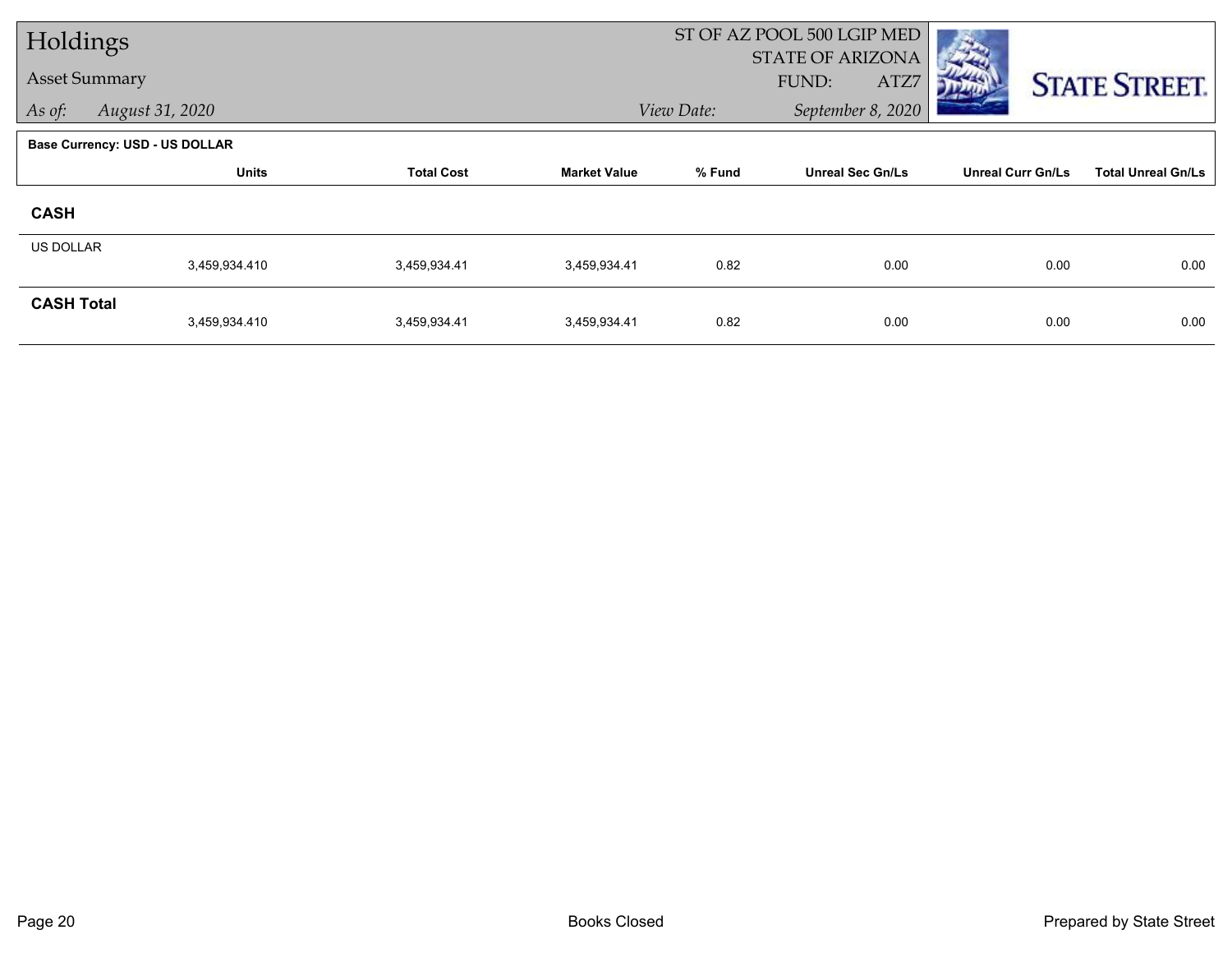|                      | Holdings                       |                   |                     | ST OF AZ POOL 500 LGIP MED |                         |                          |                           |
|----------------------|--------------------------------|-------------------|---------------------|----------------------------|-------------------------|--------------------------|---------------------------|
| <b>Asset Summary</b> |                                |                   |                     |                            | <b>STATE OF ARIZONA</b> |                          |                           |
|                      |                                |                   |                     |                            | FUND:<br>ATZ7           |                          | <b>STATE STREET.</b>      |
| As of:               | August 31, 2020                |                   |                     | View Date:                 | September 8, 2020       |                          |                           |
|                      | Base Currency: USD - US DOLLAR |                   |                     |                            |                         |                          |                           |
|                      | <b>Units</b>                   | <b>Total Cost</b> | <b>Market Value</b> | % Fund                     | <b>Unreal Sec Gn/Ls</b> | <b>Unreal Curr Gn/Ls</b> | <b>Total Unreal Gn/Ls</b> |
| <b>CASH</b>          |                                |                   |                     |                            |                         |                          |                           |
| <b>US DOLLAR</b>     |                                |                   |                     |                            |                         |                          |                           |
|                      | 3,459,934.410                  | 3.459.934.41      | 3,459,934.41        | 0.82                       | 0.00                    | 0.00                     | 0.00                      |
| <b>CASH Total</b>    |                                |                   |                     |                            |                         |                          |                           |
|                      | 3,459,934.410                  | 3,459,934.41      | 3,459,934.41        | 0.82                       | 0.00                    | 0.00                     | 0.00                      |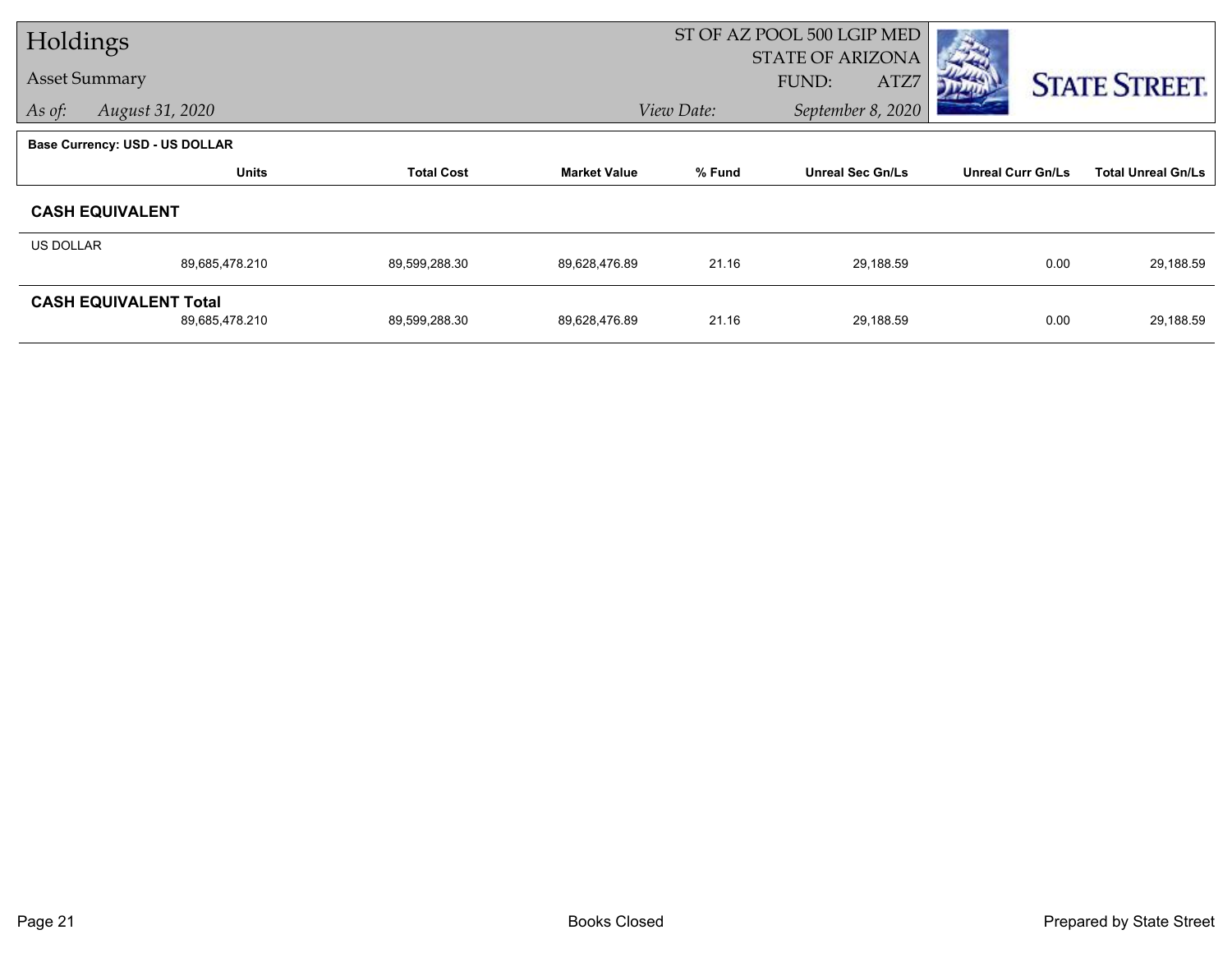|           | Holdings                              |                   |                     | ST OF AZ POOL 500 LGIP MED |                         |                          |                           |
|-----------|---------------------------------------|-------------------|---------------------|----------------------------|-------------------------|--------------------------|---------------------------|
|           |                                       |                   |                     |                            | <b>STATE OF ARIZONA</b> |                          |                           |
|           | <b>Asset Summary</b>                  |                   |                     |                            | FUND:<br>ATZ7           |                          | <b>STATE STREET.</b>      |
| As of:    | August 31, 2020                       |                   |                     | View Date:                 | September 8, 2020       |                          |                           |
|           | <b>Base Currency: USD - US DOLLAR</b> |                   |                     |                            |                         |                          |                           |
|           | <b>Units</b>                          | <b>Total Cost</b> | <b>Market Value</b> | % Fund                     | <b>Unreal Sec Gn/Ls</b> | <b>Unreal Curr Gn/Ls</b> | <b>Total Unreal Gn/Ls</b> |
|           | <b>CASH EQUIVALENT</b>                |                   |                     |                            |                         |                          |                           |
| US DOLLAR |                                       |                   |                     |                            |                         |                          |                           |
|           | 89,685,478.210                        | 89,599,288.30     | 89,628,476.89       | 21.16                      | 29,188.59               | 0.00                     | 29,188.59                 |
|           | <b>CASH EQUIVALENT Total</b>          |                   |                     |                            |                         |                          |                           |
|           | 89,685,478.210                        | 89,599,288.30     | 89,628,476.89       | 21.16                      | 29,188.59               | 0.00                     | 29,188.59                 |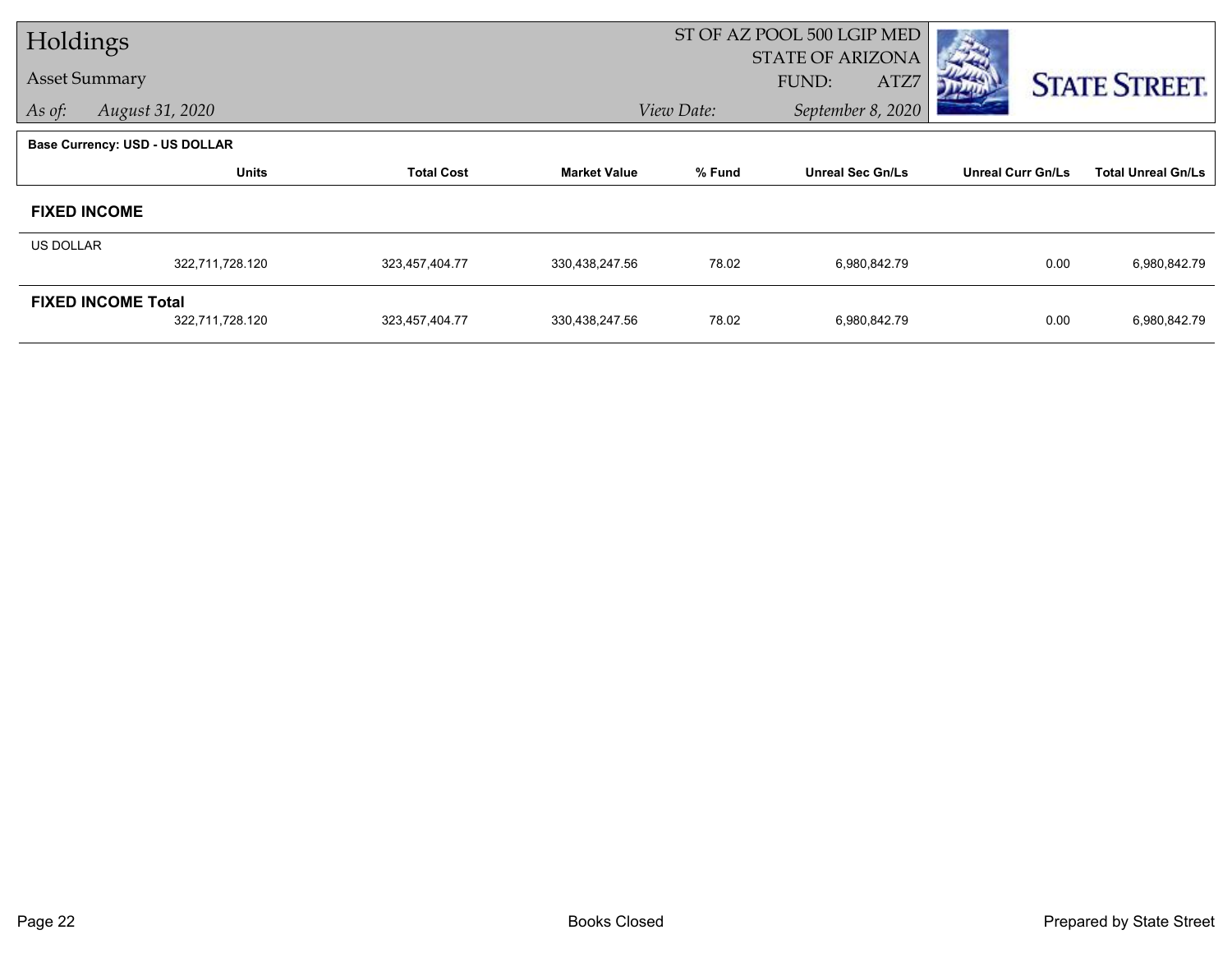| Holdings         |                                       |                   |                     | ST OF AZ POOL 500 LGIP MED |                         |                          |                           |  |  |
|------------------|---------------------------------------|-------------------|---------------------|----------------------------|-------------------------|--------------------------|---------------------------|--|--|
|                  |                                       |                   |                     |                            | <b>STATE OF ARIZONA</b> |                          |                           |  |  |
|                  | <b>Asset Summary</b>                  |                   |                     |                            | ATZ7<br>FUND:           |                          | <b>STATE STREET.</b>      |  |  |
| As of:           | August 31, 2020                       |                   |                     | View Date:                 | September 8, 2020       |                          |                           |  |  |
|                  | <b>Base Currency: USD - US DOLLAR</b> |                   |                     |                            |                         |                          |                           |  |  |
|                  | <b>Units</b>                          | <b>Total Cost</b> | <b>Market Value</b> | % Fund                     | <b>Unreal Sec Gn/Ls</b> | <b>Unreal Curr Gn/Ls</b> | <b>Total Unreal Gn/Ls</b> |  |  |
|                  | <b>FIXED INCOME</b>                   |                   |                     |                            |                         |                          |                           |  |  |
| <b>US DOLLAR</b> |                                       |                   |                     |                            |                         |                          |                           |  |  |
|                  | 322,711,728.120                       | 323,457,404.77    | 330,438,247.56      | 78.02                      | 6,980,842.79            | 0.00                     | 6,980,842.79              |  |  |
|                  | <b>FIXED INCOME Total</b>             |                   |                     |                            |                         |                          |                           |  |  |
|                  | 322,711,728.120                       | 323,457,404.77    | 330,438,247.56      | 78.02                      | 6,980,842.79            | 0.00                     | 6,980,842.79              |  |  |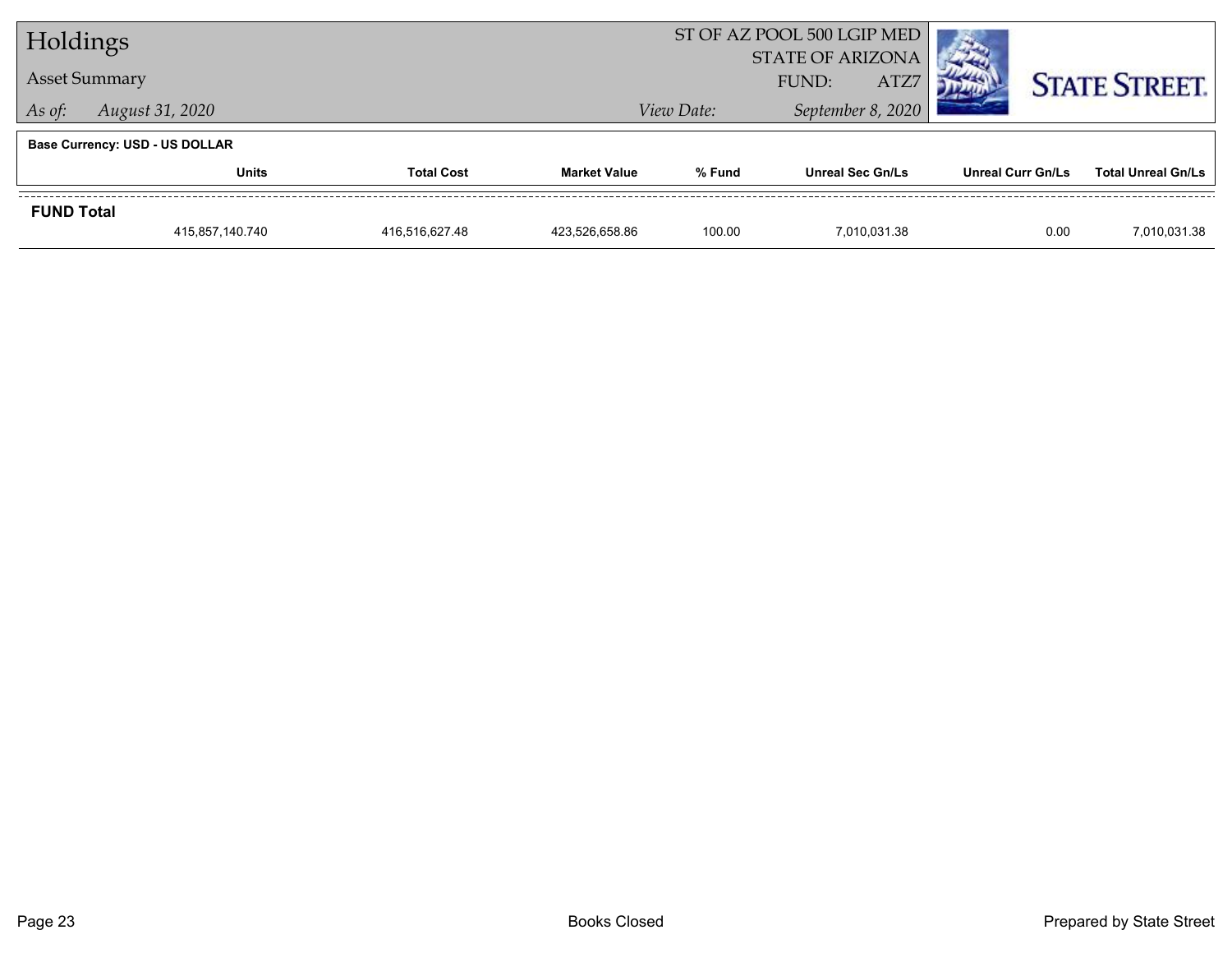| Holdings             |                                       |                   |                                  | ST OF AZ POOL 500 LGIP MED |                         |              |                          |                      |                           |  |
|----------------------|---------------------------------------|-------------------|----------------------------------|----------------------------|-------------------------|--------------|--------------------------|----------------------|---------------------------|--|
| <b>Asset Summary</b> |                                       |                   | <b>STATE OF ARIZONA</b><br>FUND: |                            | ATZ7                    |              |                          | <b>STATE STREET.</b> |                           |  |
| As of:               | August 31, 2020                       |                   |                                  | View Date:                 | September 8, 2020       |              |                          |                      |                           |  |
|                      | <b>Base Currency: USD - US DOLLAR</b> |                   |                                  |                            |                         |              |                          |                      |                           |  |
|                      | <b>Units</b>                          | <b>Total Cost</b> | <b>Market Value</b>              | % Fund                     | <b>Unreal Sec Gn/Ls</b> |              | <b>Unreal Curr Gn/Ls</b> |                      | <b>Total Unreal Gn/Ls</b> |  |
| <b>FUND Total</b>    |                                       |                   |                                  |                            |                         |              |                          |                      |                           |  |
|                      | 415,857,140.740                       | 416,516,627.48    | 423,526,658.86                   | 100.00                     |                         | 7,010,031.38 |                          | 0.00                 | 7,010,031.38              |  |